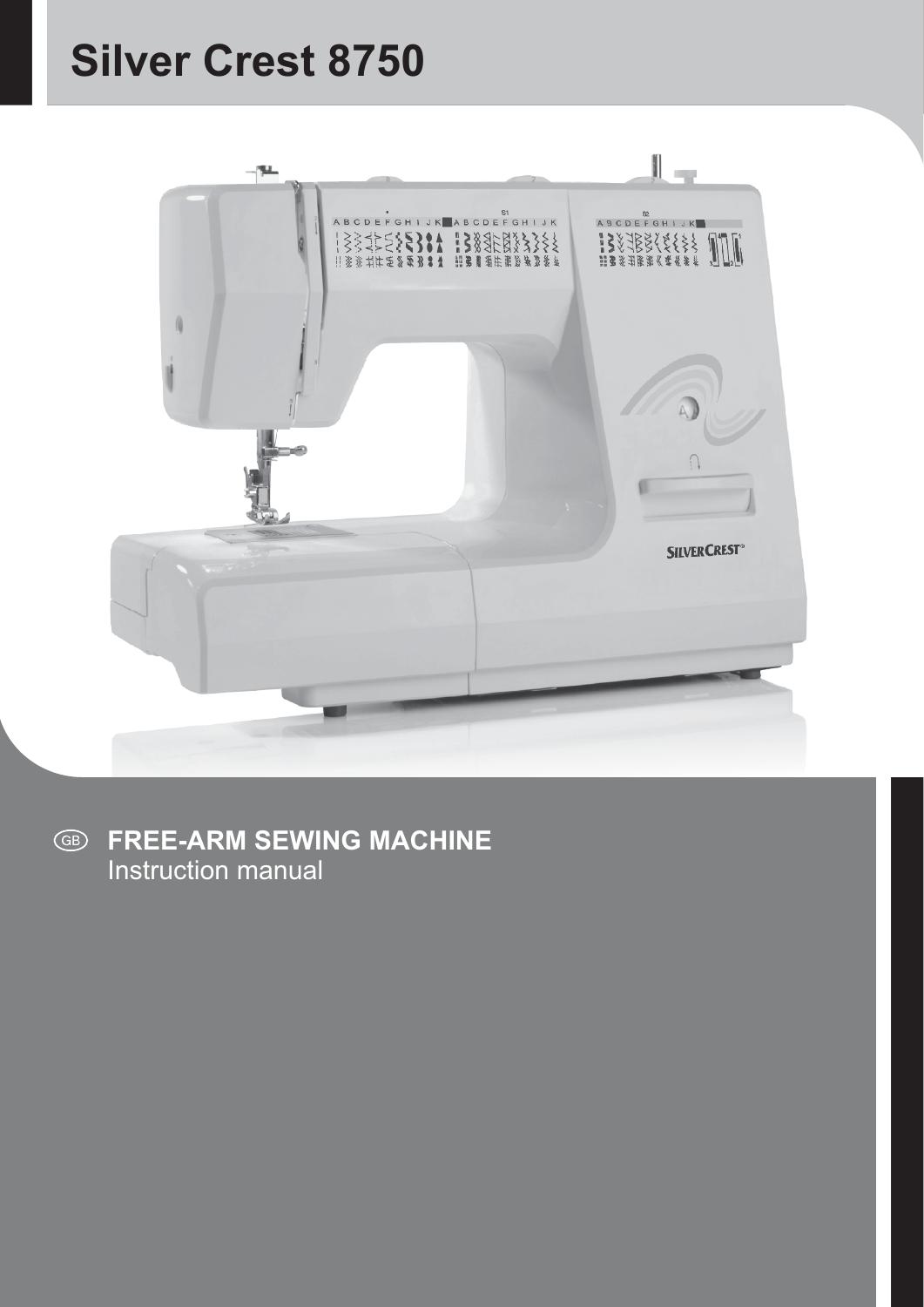# **Silver Crest 8750**



**FREE-ARM SEWING MACHINE**  $\bigcirc$ Instruction manual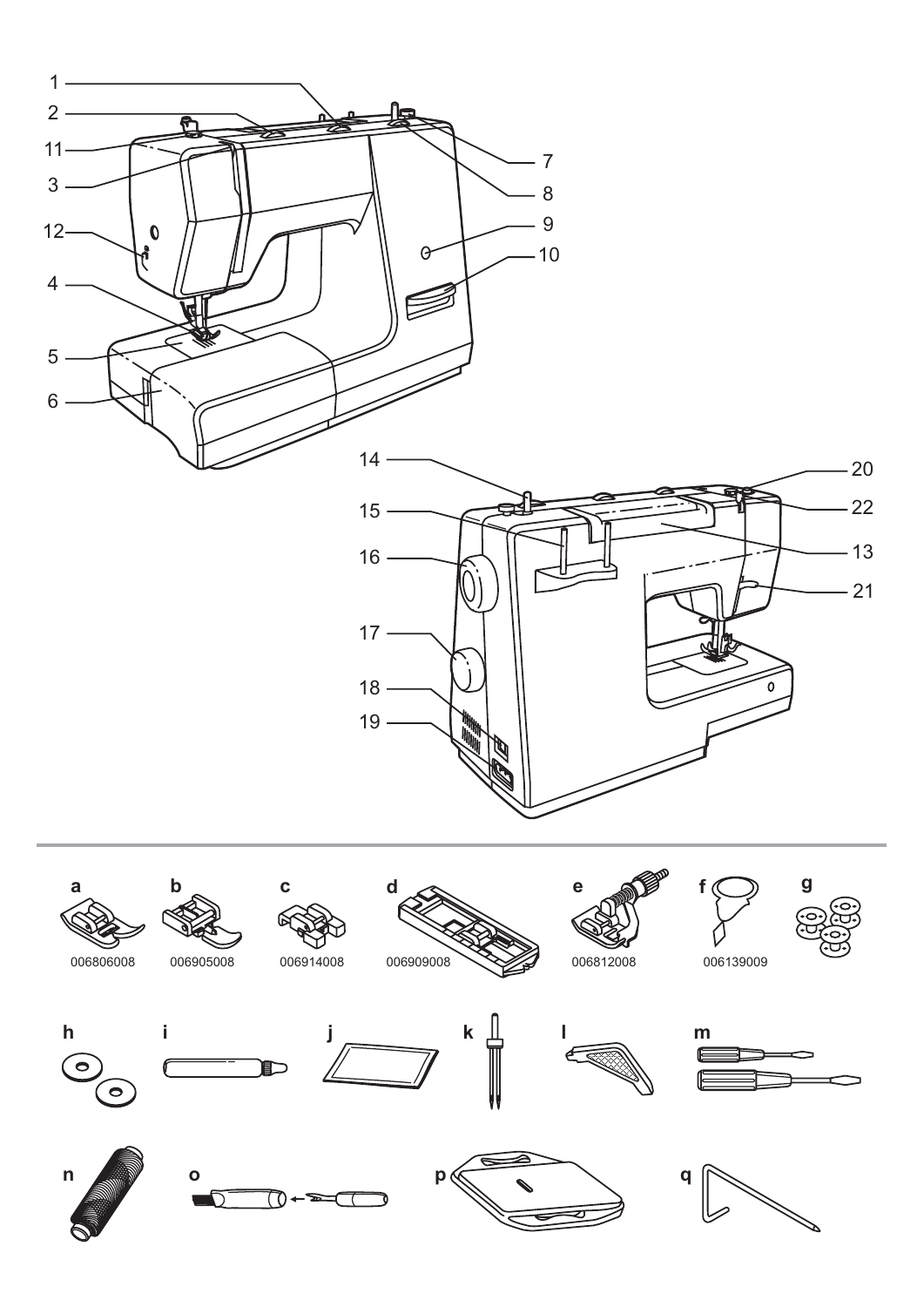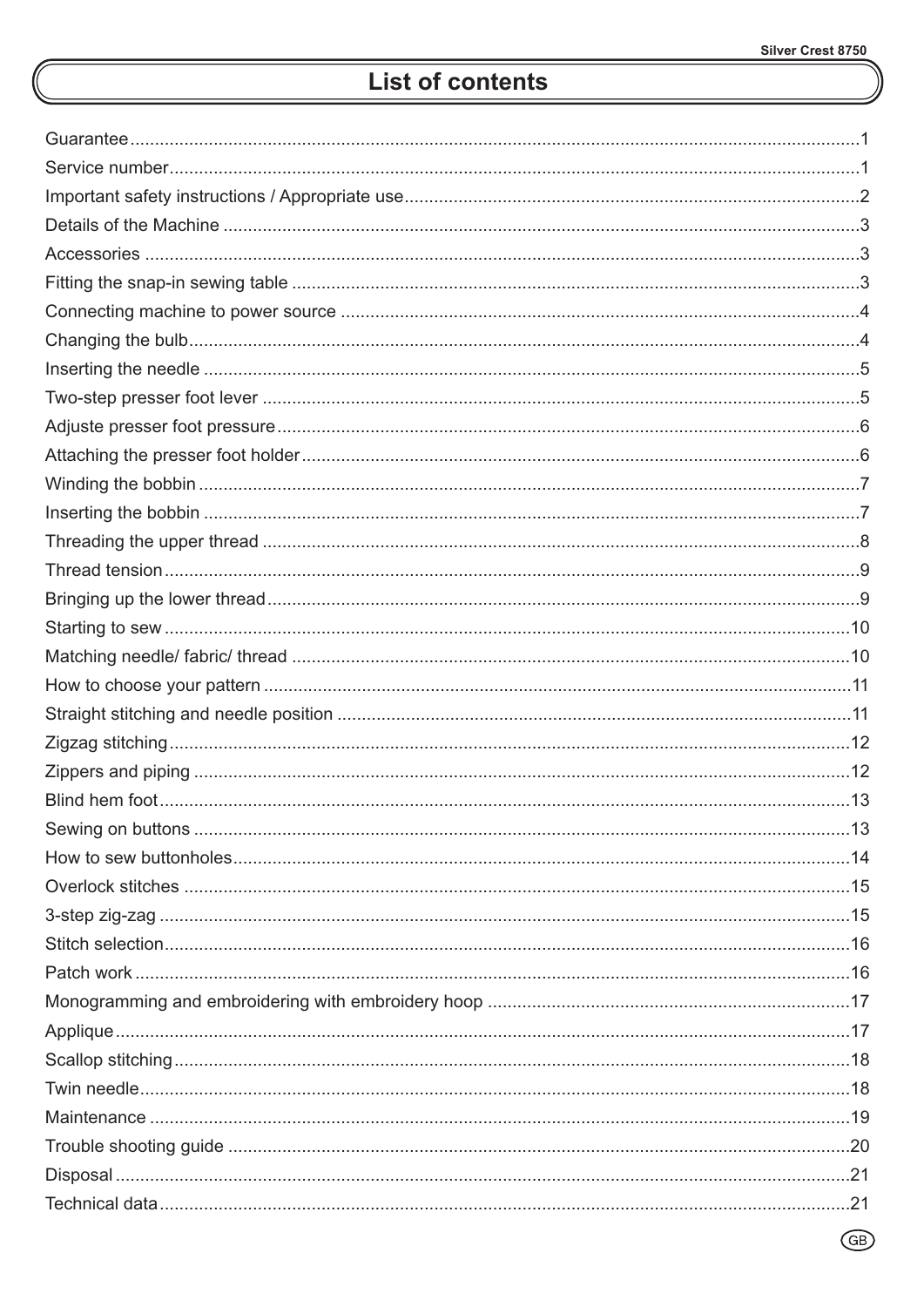# **List of contents**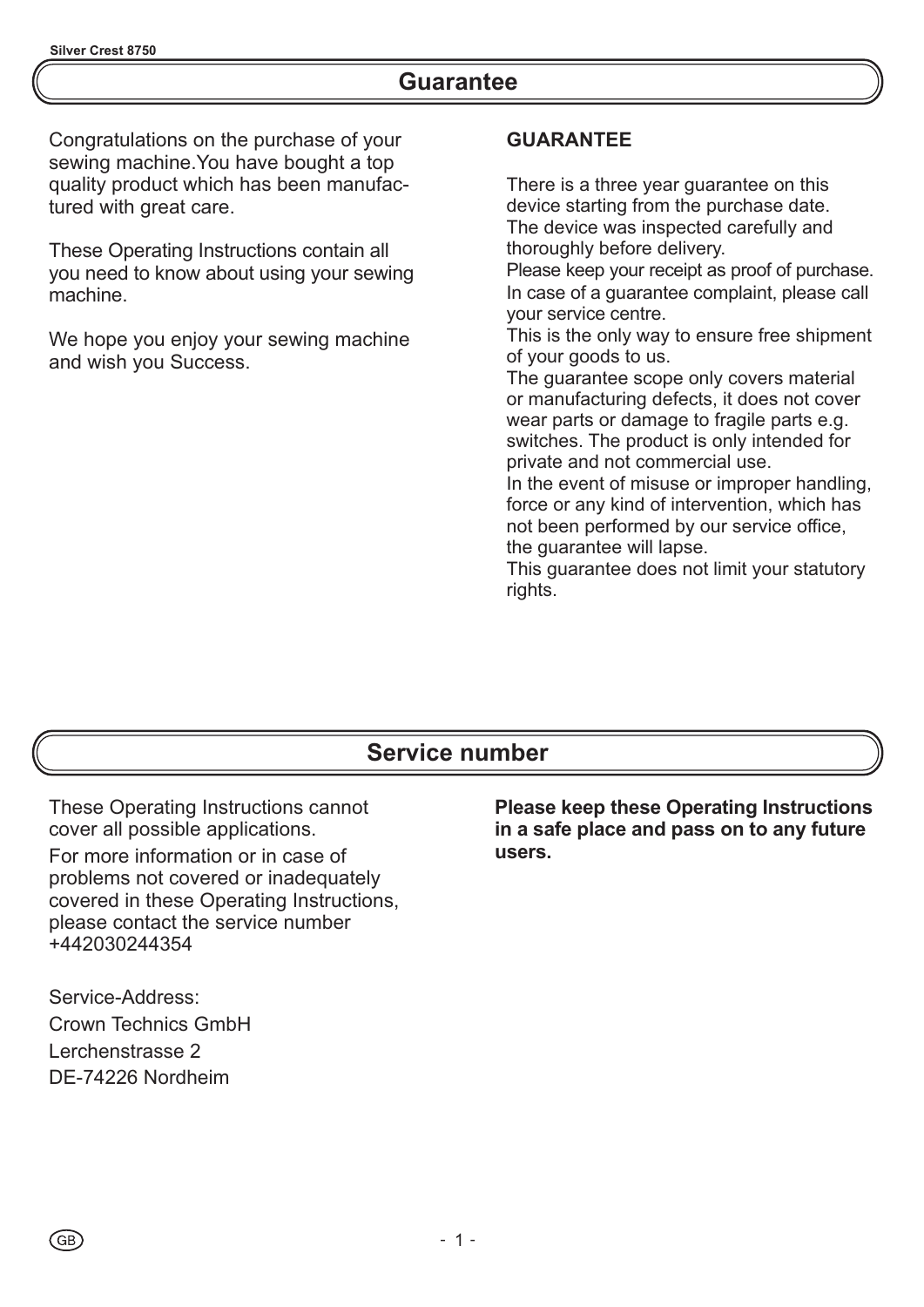### **Guarantee**

Congratulations on the purchase of your sewing machine.You have bought a top quality product which has been manufactured with great care.

These Operating Instructions contain all you need to know about using your sewing machine.

We hope you enjoy your sewing machine and wish you Success.

#### **GUARANTEE**

There is a three year quarantee on this device starting from the purchase date. The device was inspected carefully and thoroughly before delivery.

Please keep your receipt as proof of purchase. In case of a guarantee complaint, please call your service centre.

This is the only way to ensure free shipment of your goods to us.

The guarantee scope only covers material or manufacturing defects, it does not cover wear parts or damage to fragile parts e.g. switches. The product is only intended for private and not commercial use.

In the event of misuse or improper handling, force or any kind of intervention, which has not been performed by our service office, the guarantee will lapse.

This guarantee does not limit your statutory rights.

### **Service number**

These Operating Instructions cannot cover all possible applications.

For more information or in case of problems not covered or inadequately covered in these Operating Instructions, please contact the service number +442030244354

Service-Address: Crown Technics GmbH Lerchenstrasse 2 DE-74226 Nordheim

GB)

**Please keep these Operating Instructions in a safe place and pass on to any future users.**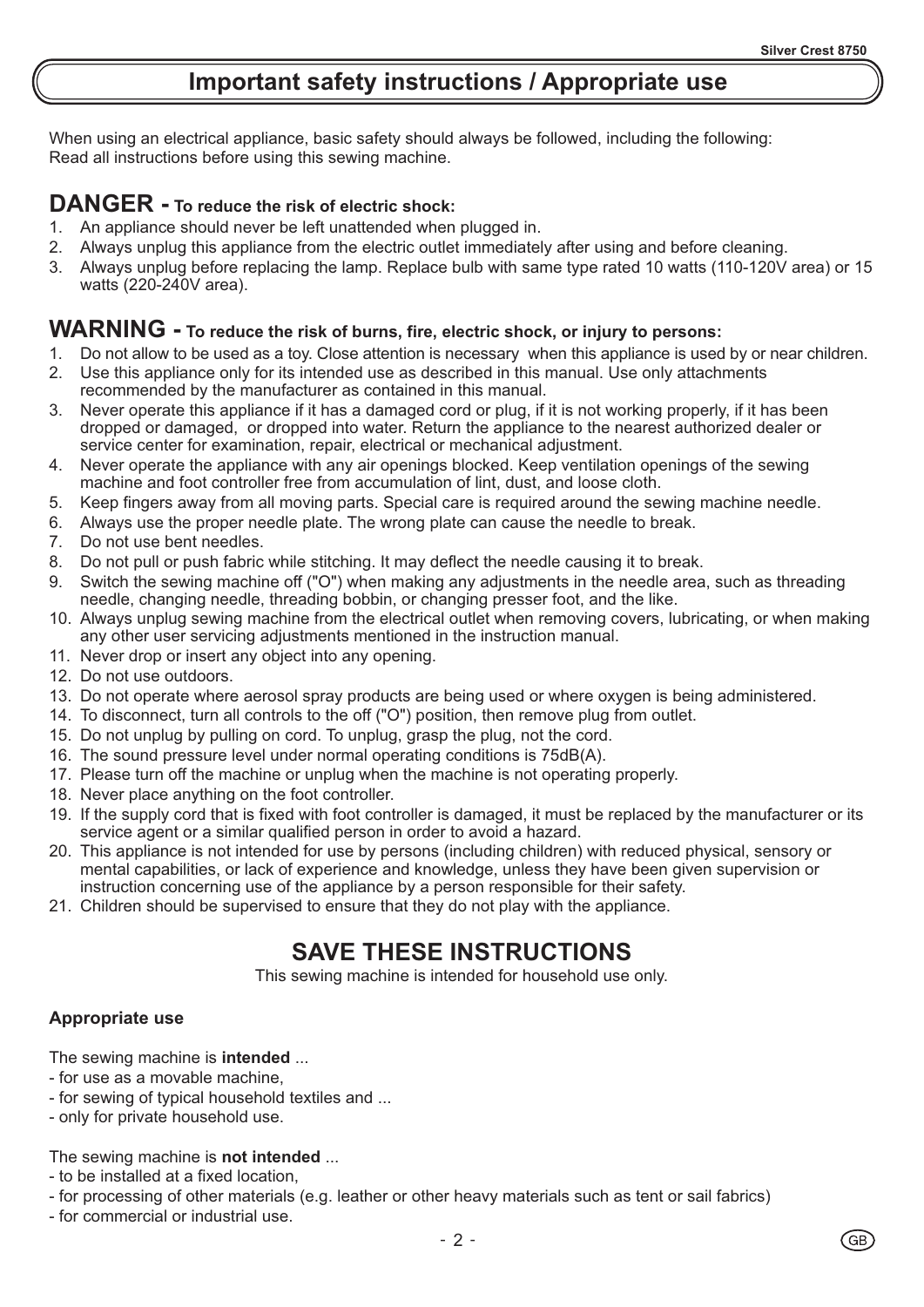# **Important safety instructions / Appropriate use**

When using an electrical appliance, basic safety should always be followed, including the following: Read all instructions before using this sewing machine.

### **DANGER - To reduce the risk of electric shock:**

- 1. An appliance should never be left unattended when plugged in.
- 2. Always unplug this appliance from the electric outlet immediately after using and before cleaning.
- 3. Always unplug before replacing the lamp. Replace bulb with same type rated 10 watts (110-120V area) or 15 watts (220-240V area).

#### **WARNING - To reduce the risk of burns, fire, electric shock, or injury to persons:**

- 1. Do not allow to be used as a toy. Close attention is necessary when this appliance is used by or near children.
- 2. Use this appliance only for its intended use as described in this manual. Use only attachments recommended by the manufacturer as contained in this manual.
- 3. Never operate this appliance if it has a damaged cord or plug, if it is not working properly, if it has been dropped or damaged, or dropped into water. Return the appliance to the nearest authorized dealer or service center for examination, repair, electrical or mechanical adjustment.
- 4. Never operate the appliance with any air openings blocked. Keep ventilation openings of the sewing machine and foot controller free from accumulation of lint, dust, and loose cloth.
- 5. Keep fingers away from all moving parts. Special care is required around the sewing machine needle.
- 6. Always use the proper needle plate. The wrong plate can cause the needle to break.
- 7. Do not use bent needles.
- 8. Do not pull or push fabric while stitching. It may deflect the needle causing it to break.
- 9. Switch the sewing machine off ("O") when making any adjustments in the needle area, such as threading needle, changing needle, threading bobbin, or changing presser foot, and the like.
- 10. Always unplug sewing machine from the electrical outlet when removing covers, lubricating, or when making any other user servicing adjustments mentioned in the instruction manual.
- 11. Never drop or insert any object into any opening.
- 12. Do not use outdoors.
- 13. Do not operate where aerosol spray products are being used or where oxygen is being administered.
- 14. To disconnect, turn all controls to the off ("O") position, then remove plug from outlet.
- 15. Do not unplug by pulling on cord. To unplug, grasp the plug, not the cord.
- 16. The sound pressure level under normal operating conditions is 75dB(A).
- 17. Please turn off the machine or unplug when the machine is not operating properly.
- 18. Never place anything on the foot controller.
- 19. If the supply cord that is fixed with foot controller is damaged, it must be replaced by the manufacturer or its service agent or a similar qualified person in order to avoid a hazard.
- 20. This appliance is not intended for use by persons (including children) with reduced physical, sensory or mental capabilities, or lack of experience and knowledge, unless they have been given supervision or instruction concerning use of the appliance by a person responsible for their safety.
- 21. Children should be supervised to ensure that they do not play with the appliance.

### **SAVE THESE INSTRUCTIONS**

This sewing machine is intended for household use only.

#### **Appropriate use**

The sewing machine is **intended** ...

- for use as a movable machine,
- for sewing of typical household textiles and ...
- only for private household use.

The sewing machine is **not intended** ...

- to be installed at a fixed location,
- for processing of other materials (e.g. leather or other heavy materials such as tent or sail fabrics)
- for commercial or industrial use.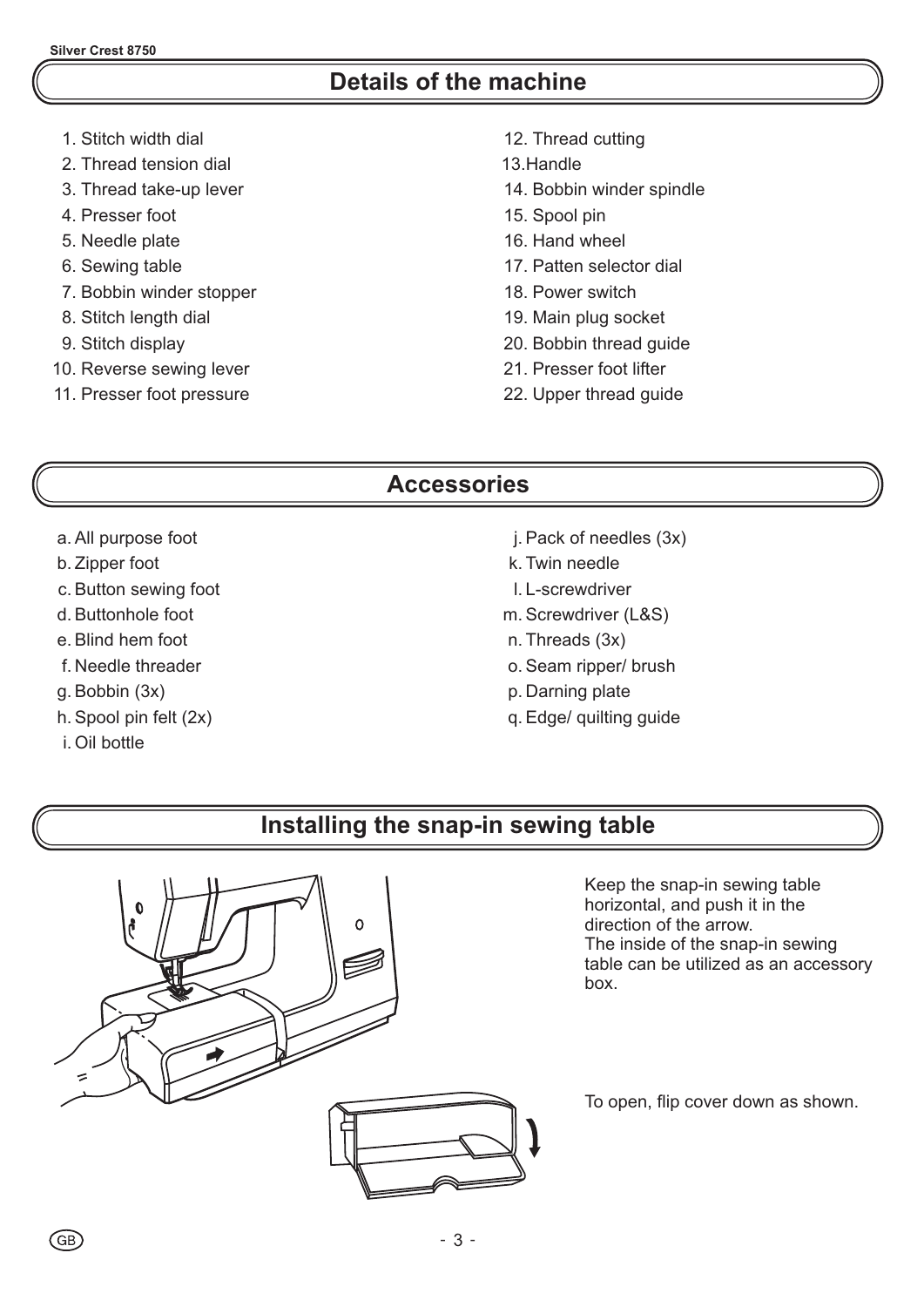### **Details of the machine**

- 1. Stitch width dial
- 2. Thread tension dial
- 3. Thread take-up lever
- 4. Presser foot
- 5. Needle plate
- 6. Sewing table
- 7. Bobbin winder stopper
- 8. Stitch length dial
- 9. Stitch display
- 10. Reverse sewing lever
- 11. Presser foot pressure
- 12. Thread cutting
- 13.Handle
- 14. Bobbin winder spindle
- 15. Spool pin
- 16. Hand wheel
- 17. Patten selector dial
- 18. Power switch
- 19. Main plug socket
- 20. Bobbin thread guide
- 21. Presser foot lifter
- 22. Upper thread guide

### **Accessories**

- a . All purpose foot
- b. Zipper foot
- c. Button sewing foot
- d. Buttonhole foot
- e. Blind hem foot
- f. Needle threader
- g. Bobbin (3x)
- h. Spool pin felt (2x)
- i. Oil bottle
- j. Pack of needles (3x)
- k. Twin needle
- l. L-screwdriver
- m. Screwdriver (L&S)
- n. Threads (3x)
- o. Seam ripper/ brush
- p. Darning plate
- q. Edge/ quilting guide

### **Installing the snap-in sewing table**



Keep the snap-in sewing table horizontal, and push it in the direction of the arrow. The inside of the snap-in sewing table can be utilized as an accessory box.

To open, flip cover down as shown.

GB)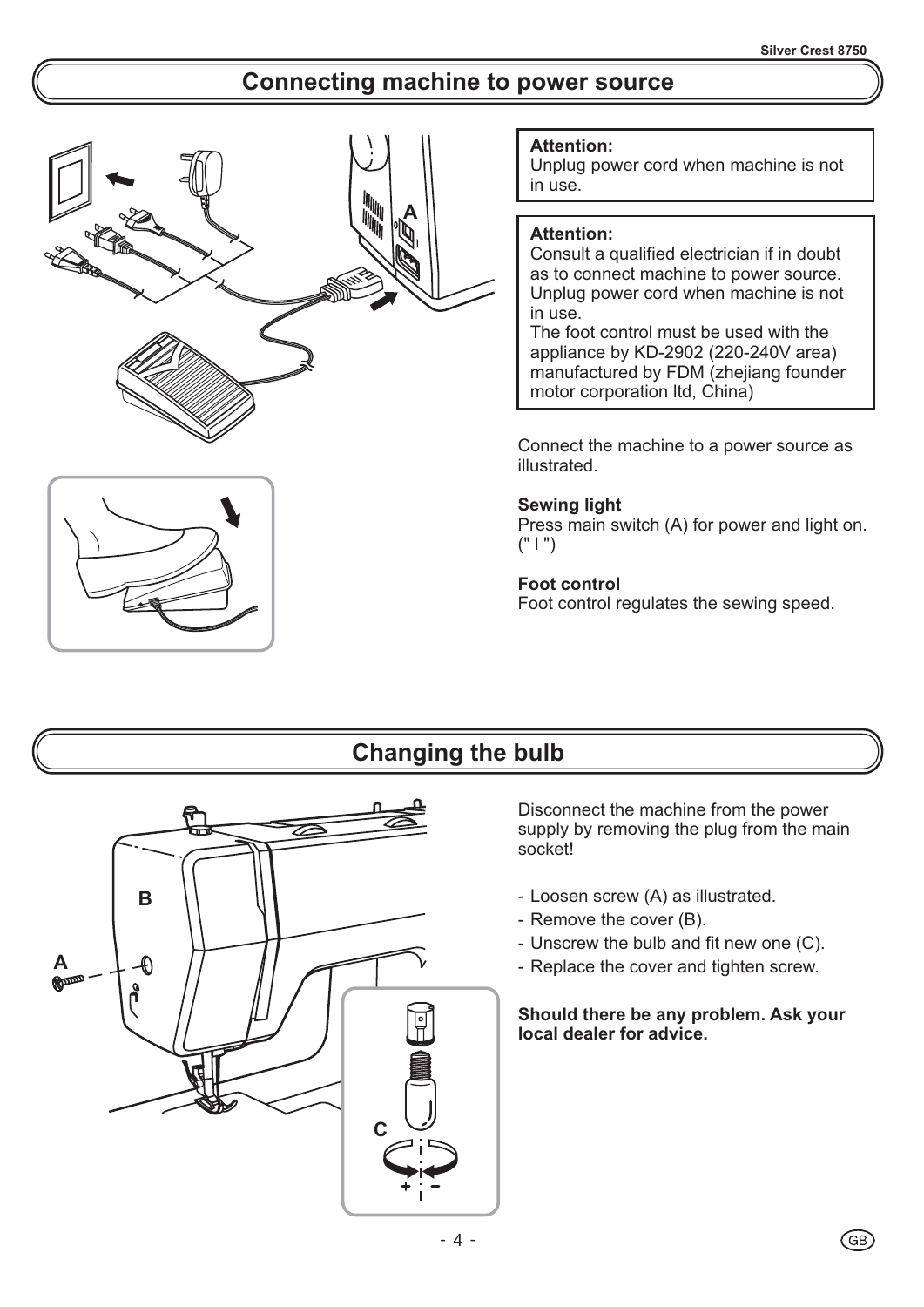### **Connecting machine to power source**





#### **Attention:**

Unplug power cord when machine is not in use.

#### **Attention:**

Consult a qualified electrician if in doubt as to connect machine to power source. Unplug power cord when machine is not in use.

The foot control must be used with the appliance by KD-2902 (220-240V area) manufactured by FDM (zhejiang founder motor corporation ltd, China)

Connect the machine to a power source as illustrated.

#### **Sewing light**

Press main switch (A) for power and light on.  $(" | " )$ 

#### **Foot control**

Foot control regulates the sewing speed.

### **Changing the bulb**



Disconnect the machine from the power supply by removing the plug from the main socket!

- Loosen screw (A) as illustrated.
- Remove the cover (B).
- Unscrew the bulb and fit new one (C).
- Replace the cover and tighten screw.

#### **Should there be any problem. Ask your local dealer for advice.**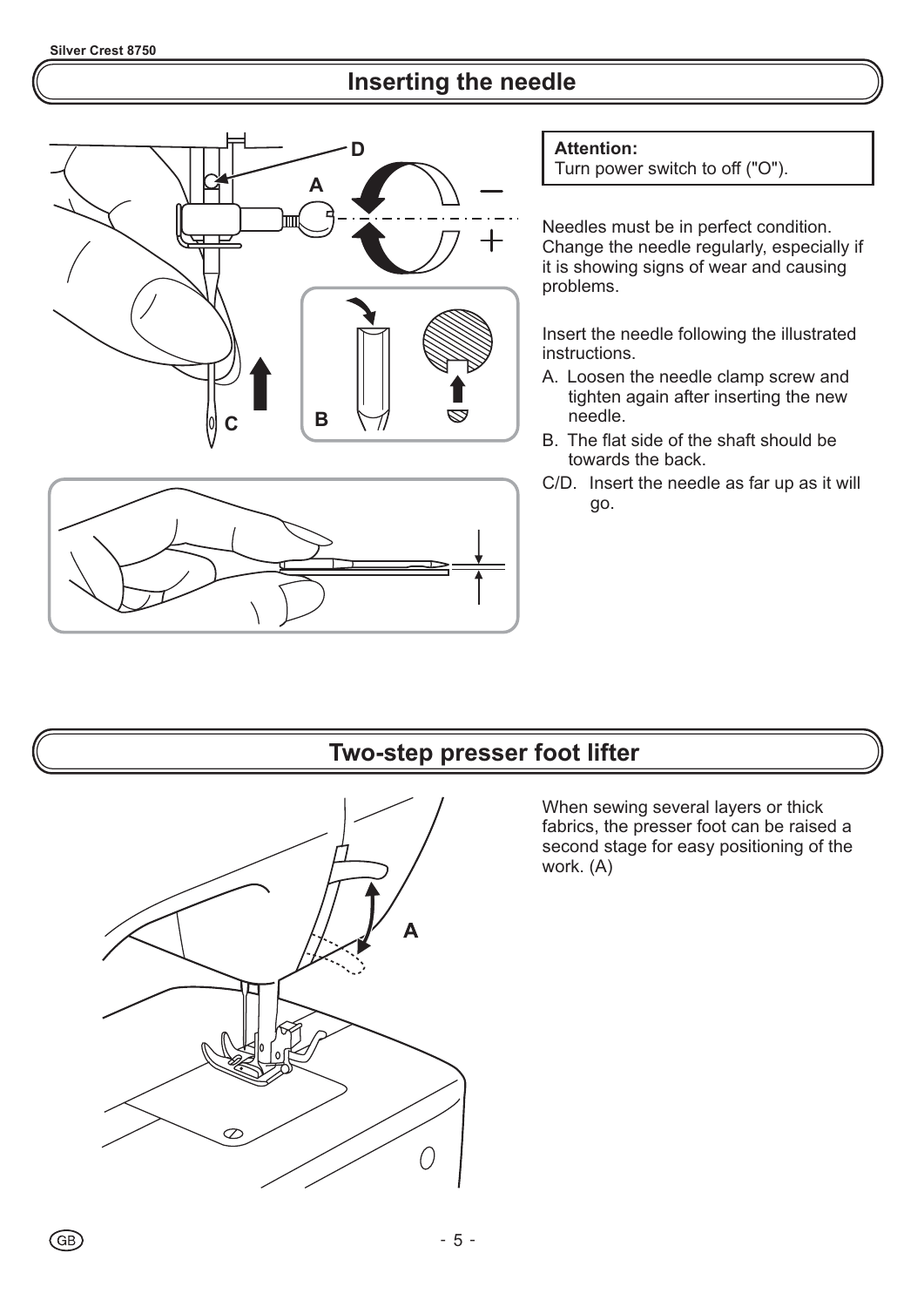# **Inserting the needle**





**Attention:**

Turn power switch to off ("O").

Needles must be in perfect condition. Change the needle regularly, especially if it is showing signs of wear and causing problems.

Insert the needle following the illustrated instructions.

- A. Loosen the needle clamp screw and tighten again after inserting the new needle.
- B. The flat side of the shaft should be towards the back.
- C/D. Insert the needle as far up as it will go.

### **Two-step presser foot lifter**



When sewing several layers or thick fabrics, the presser foot can be raised a second stage for easy positioning of the work. (A)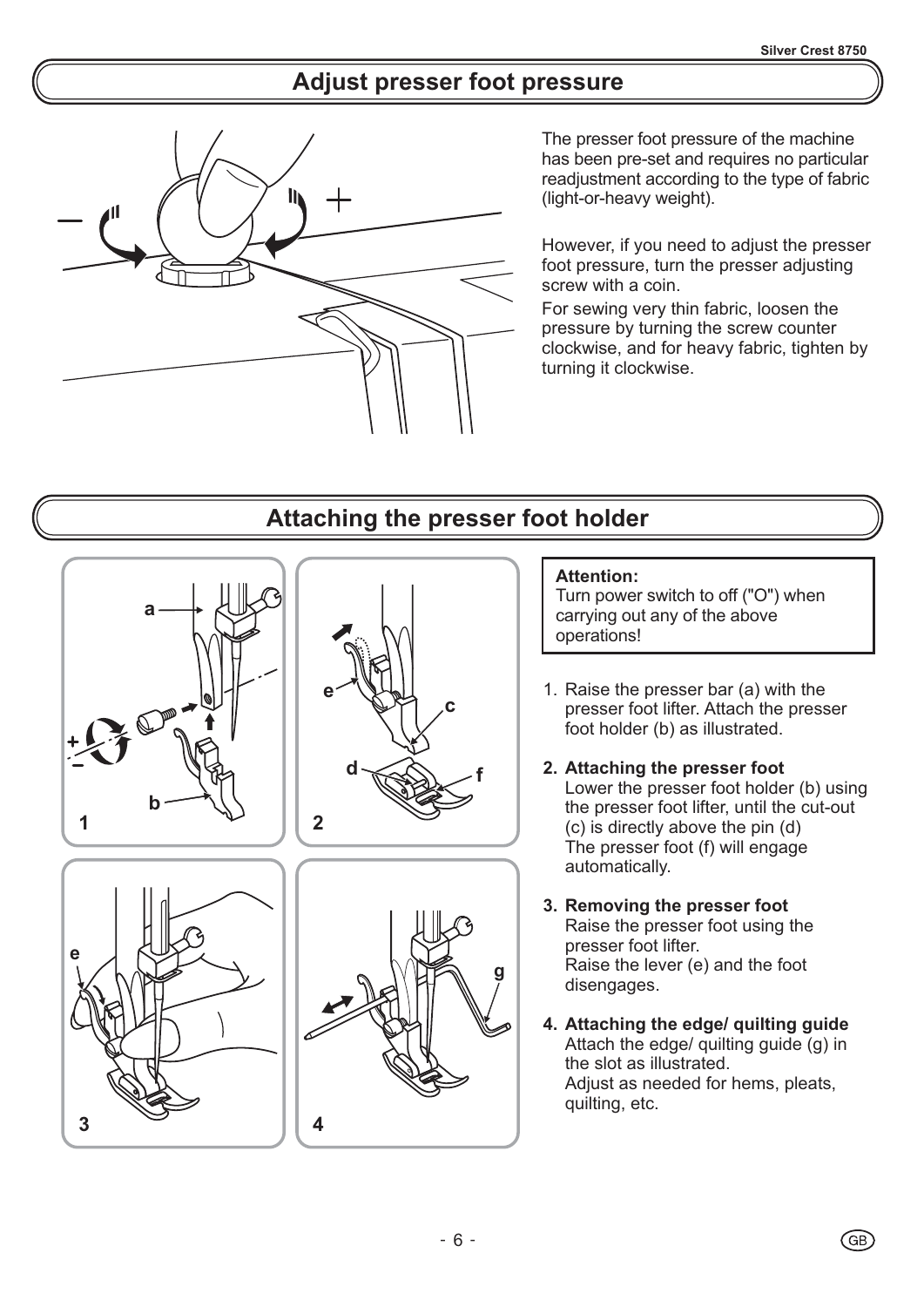# **Adjust presser foot pressure**



The presser foot pressure of the machine has been pre-set and requires no particular readjustment according to the type of fabric (light-or-heavy weight).

However, if you need to adjust the presser foot pressure, turn the presser adjusting screw with a coin.

For sewing very thin fabric, loosen the pressure by turning the screw counter clockwise, and for heavy fabric, tighten by turning it clockwise.

### **Attaching the presser foot holder**



#### **Attention:**

Turn power switch to off ("O") when carrying out any of the above operations!

- 1. Raise the presser bar (a) with the presser foot lifter. Attach the presser foot holder (b) as illustrated.
- **2. Attaching the presser foot** Lower the presser foot holder (b) using the presser foot lifter, until the cut-out (c) is directly above the pin (d) The presser foot (f) will engage automatically.
- **3. Removing the presser foot** Raise the presser foot using the presser foot lifter. Raise the lever (e) and the foot disengages.
- **4. Attaching the edge/ quilting guide** Attach the edge/ quilting guide (g) in the slot as illustrated. Adjust as needed for hems, pleats, quilting, etc.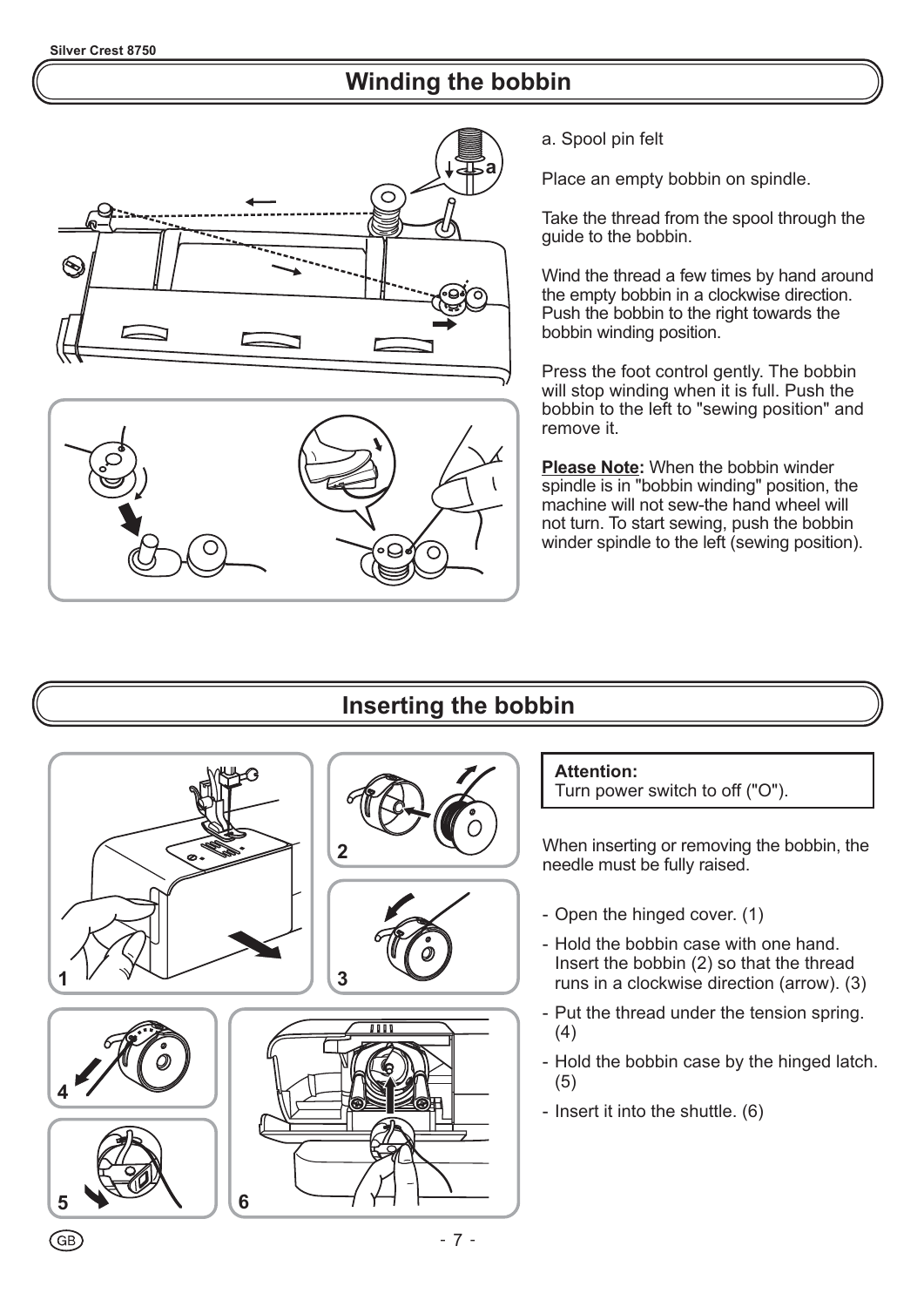# **Winding the bobbin**





a. Spool pin felt

Place an empty bobbin on spindle.

Take the thread from the spool through the guide to the bobbin.

Wind the thread a few times by hand around the empty bobbin in a clockwise direction. Push the bobbin to the right towards the bobbin winding position.

Press the foot control gently. The bobbin will stop winding when it is full. Push the bobbin to the left to "sewing position" and remove it.

**Please Note:** When the bobbin winder spindle is in "bobbin winding" position, the machine will not sew-the hand wheel will not turn. To start sewing, push the bobbin winder spindle to the left (sewing position).

# **Inserting the bobbin**













#### **Attention:**

Turn power switch to off ("O").

When inserting or removing the bobbin, the needle must be fully raised.

- Open the hinged cover. (1)
- Hold the bobbin case with one hand. Insert the bobbin (2) so that the thread runs in a clockwise direction (arrow). (3)
- Put the thread under the tension spring. (4)
- Hold the bobbin case by the hinged latch. (5)
- Insert it into the shuttle. (6)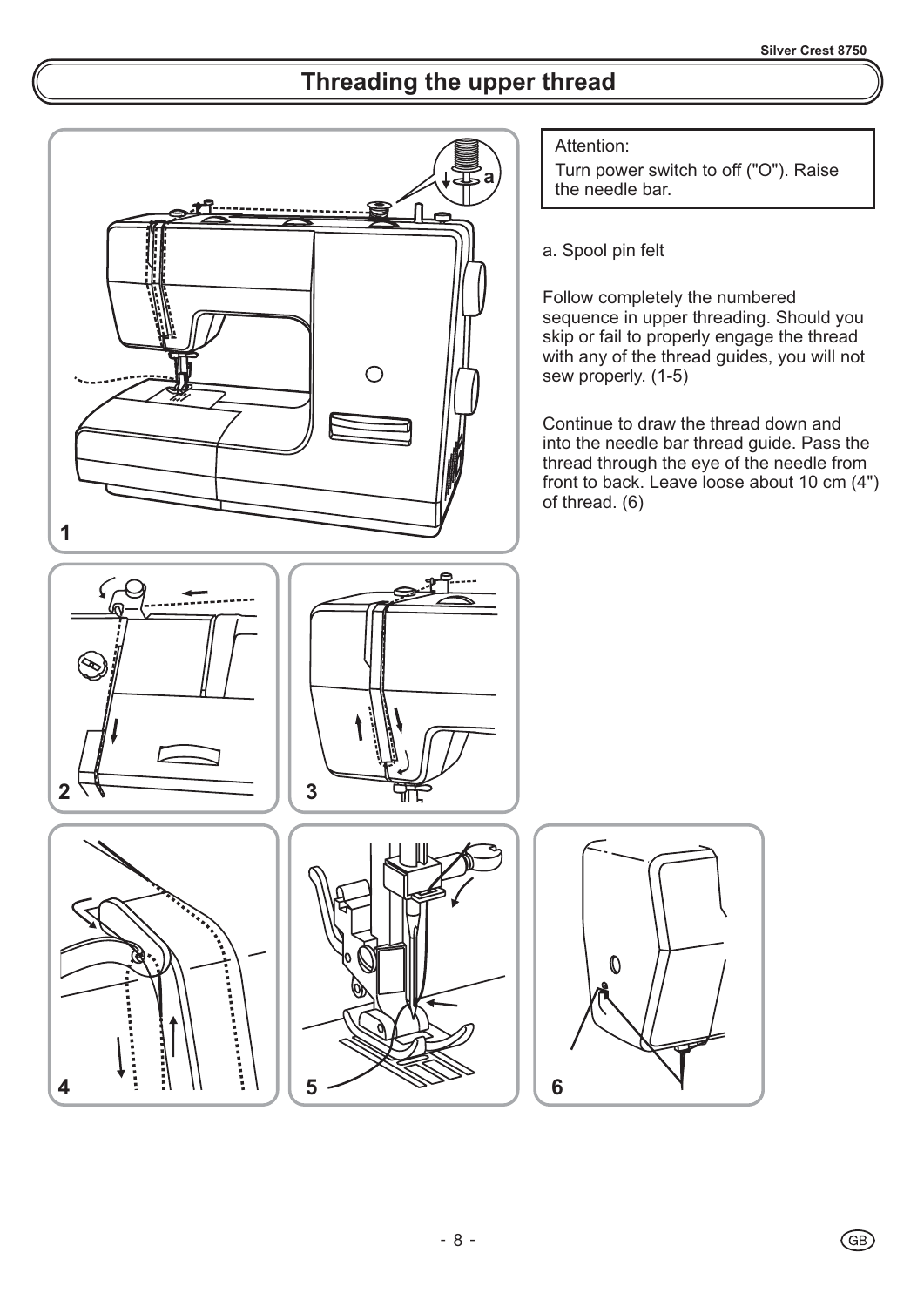# **Threading the upper thread**

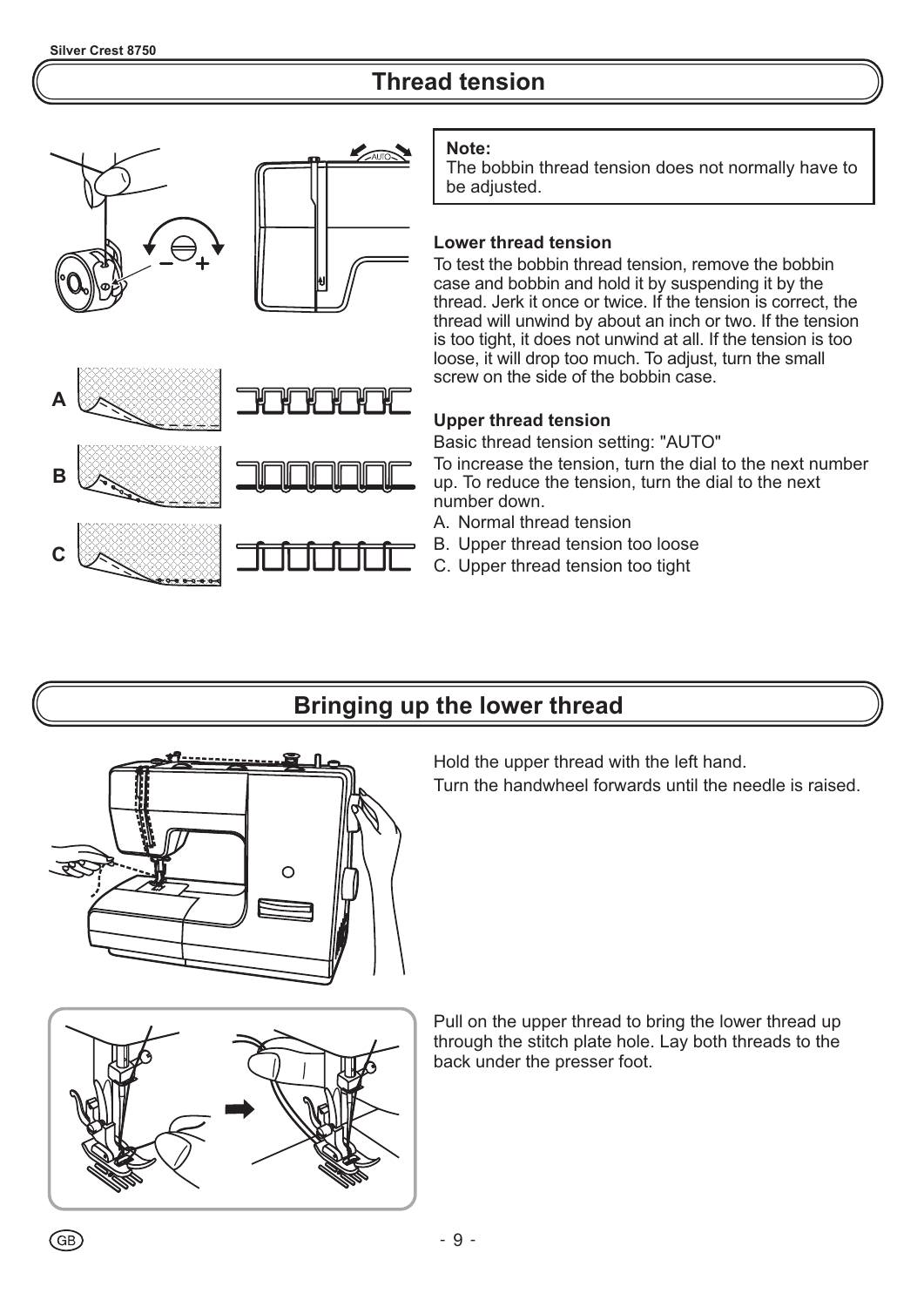# **Thread tension**



#### **Note:**

The bobbin thread tension does not normally have to be adjusted.

#### **Lower thread tension**

To test the bobbin thread tension, remove the bobbin case and bobbin and hold it by suspending it by the thread. Jerk it once or twice. If the tension is correct, the thread will unwind by about an inch or two. If the tension is too tight, it does not unwind at all. If the tension is too loose, it will drop too much. To adjust, turn the small screw on the side of the bobbin case.

#### **Upper thread tension**

Basic thread tension setting: "AUTO"

To increase the tension, turn the dial to the next number up. To reduce the tension, turn the dial to the next number down.

- A. Normal thread tension
- B. Upper thread tension too loose
- C. Upper thread tension too tight

### **Bringing up the lower thread**



Hold the upper thread with the left hand.

Turn the handwheel forwards until the needle is raised.



Pull on the upper thread to bring the lower thread up through the stitch plate hole. Lay both threads to the back under the presser foot.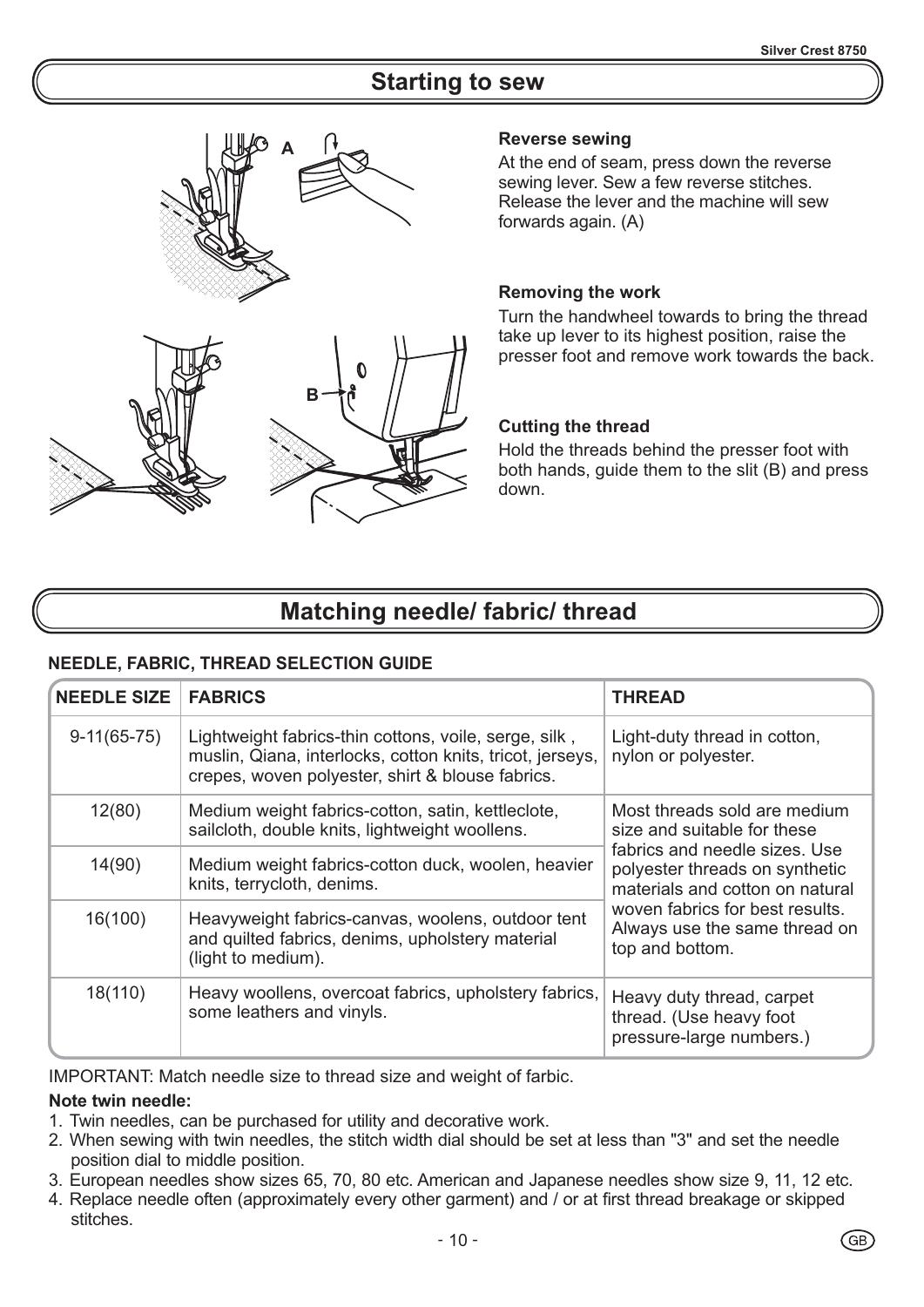### **Starting to sew**





At the end of seam, press down the reverse sewing lever. Sew a few reverse stitches. Release the lever and the machine will sew forwards again. (A)

#### **Removing the work**

Turn the handwheel towards to bring the thread take up lever to its highest position, raise the presser foot and remove work towards the back.

#### **Cutting the thread**

Hold the threads behind the presser foot with both hands, guide them to the slit (B) and press down.

### **Matching needle/ fabric/ thread**

#### **NEEDLE, FABRIC, THREAD SELECTION GUIDE**

| <b>NEEDLE SIZE</b> | <b>FABRICS</b>                                                                                                                                                         | <b>THREAD</b>                                                                                      |
|--------------------|------------------------------------------------------------------------------------------------------------------------------------------------------------------------|----------------------------------------------------------------------------------------------------|
| $9-11(65-75)$      | Lightweight fabrics-thin cottons, voile, serge, silk,<br>muslin, Qiana, interlocks, cotton knits, tricot, jerseys,<br>crepes, woven polyester, shirt & blouse fabrics. | Light-duty thread in cotton,<br>nylon or polyester.                                                |
| 12(80)             | Medium weight fabrics-cotton, satin, kettleclote,<br>sailcloth, double knits, lightweight woollens.                                                                    | Most threads sold are medium<br>size and suitable for these                                        |
| 14(90)             | Medium weight fabrics-cotton duck, woolen, heavier<br>knits, terrycloth, denims.                                                                                       | fabrics and needle sizes. Use<br>polyester threads on synthetic<br>materials and cotton on natural |
| 16(100)            | Heavyweight fabrics-canvas, woolens, outdoor tent<br>and quilted fabrics, denims, upholstery material<br>(light to medium).                                            | woven fabrics for best results.<br>Always use the same thread on<br>top and bottom.                |
| 18(110)            | Heavy woollens, overcoat fabrics, upholstery fabrics,<br>some leathers and vinyls.                                                                                     | Heavy duty thread, carpet<br>thread. (Use heavy foot<br>pressure-large numbers.)                   |

IMPORTANT: Match needle size to thread size and weight of farbic.

#### **Note twin needle:**

- 1. Twin needles, can be purchased for utility and decorative work.
- 2. When sewing with twin needles, the stitch width dial should be set at less than "3" and set the needle position dial to middle position.
- 3. European needles show sizes 65, 70, 80 etc. American and Japanese needles show size 9, 11, 12 etc.
- 4. Replace needle often (approximately every other garment) and / or at first thread breakage or skipped stitches.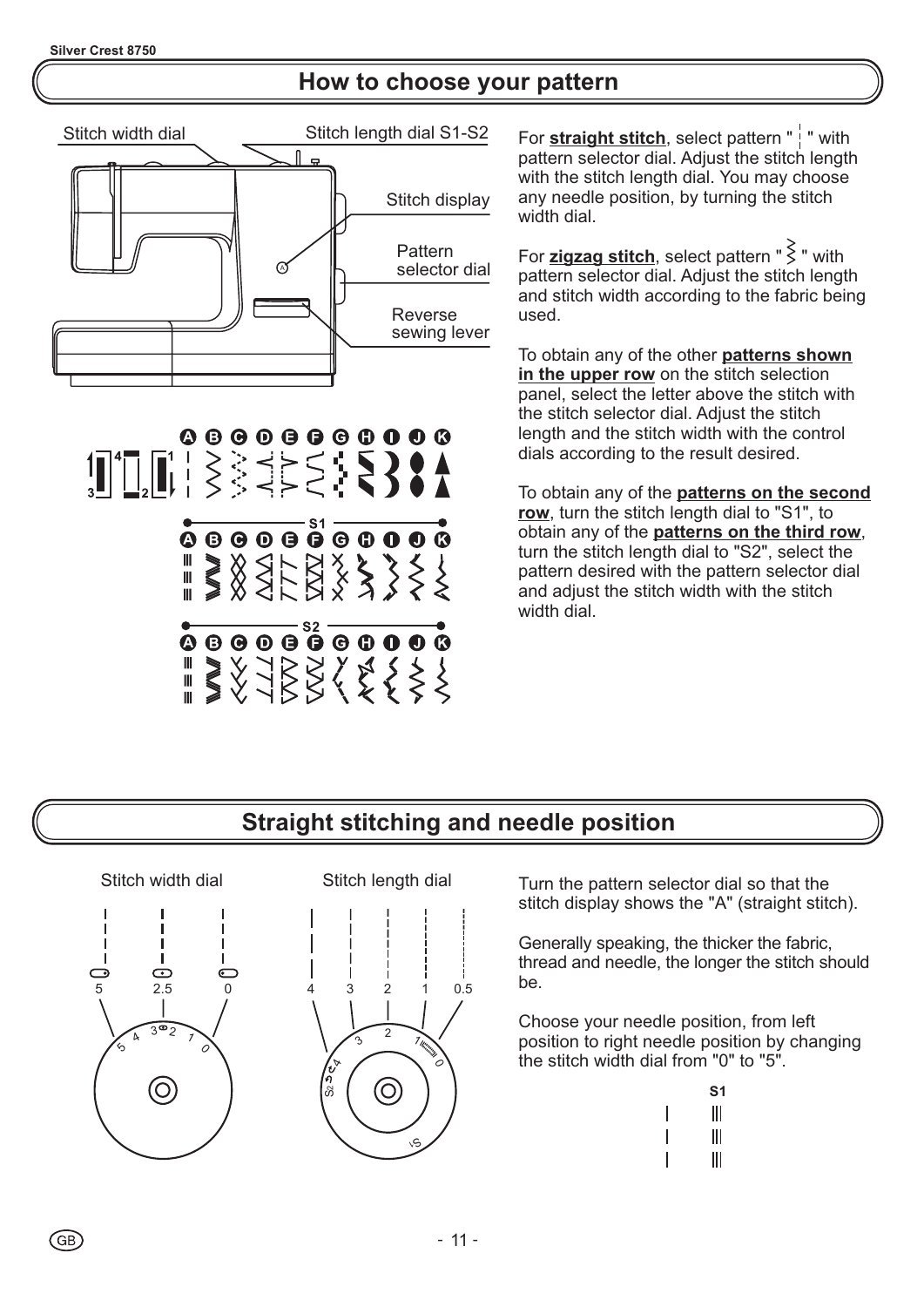### **How to choose your pattern**



00000000000 

 $\overbrace{ \bullet \circ \bullet \circ \bullet \circ \bullet \circ \bullet \circ \bullet \circ }^{S2}$ 

For **straight stitch**, select pattern " | " with pattern selector dial. Adjust the stitch length with the stitch length dial. You may choose any needle position, by turning the stitch width dial.

For **zigzag stitch**, select pattern "  $\geq$  " with pattern selector dial. Adjust the stitch length and stitch width according to the fabric being used.

To obtain any of the other **patterns shown** in the upper row on the stitch selection panel, select the letter above the stitch with the stitch selector dial. Adjust the stitch length and the stitch width with the control dials according to the result desired.

To obtain any of the **patterns on the second** row, turn the stitch length dial to "S1", to obtain any of the **patterns on the third row**, turn the stitch length dial to "S2", select the pattern desired with the pattern selector dial and adjust the stitch width with the stitch width dial.

# **Straight stitching and needle position**

Stitch width dial J. Ţ  $\overline{\mathbf{C}}$  $\bigcap$  $\overline{C}$ 5 2.5 0 3۳2  $\lambda$ 1  $\varsigma$ 0  $\odot$ 



Turn the pattern selector dial so that the stitch display shows the "A" (straight stitch).

Generally speaking, the thicker the fabric, thread and needle, the longer the stitch should be.

Choose your needle position, from left position to right needle position by changing the stitch width dial from "0" to "5".

| S1 |
|----|
| Ш  |
| Ш  |
| Ⅲ  |

 $\overline{1}$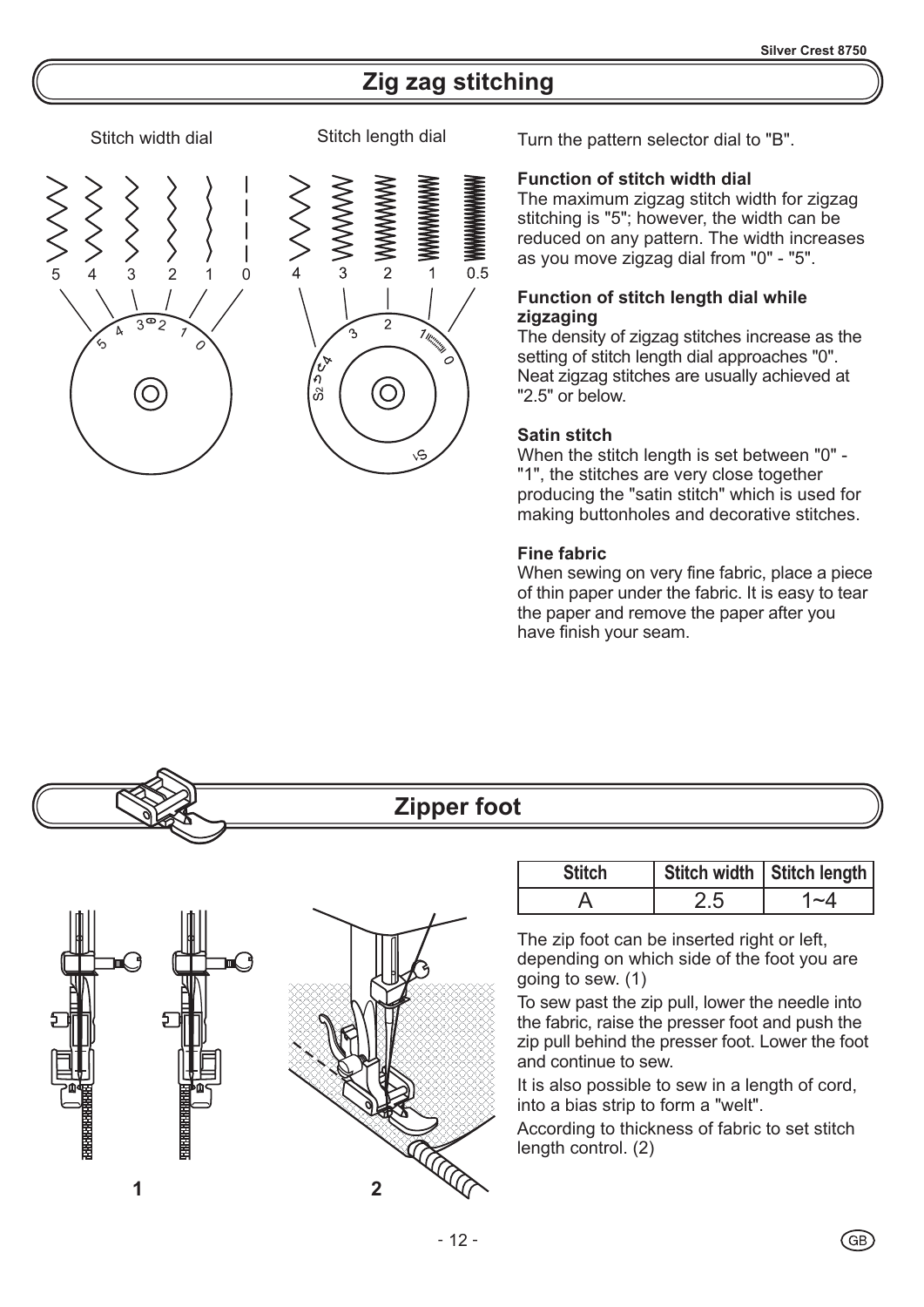## **Zig zag stitching**

 $0.5$ 

#### Stitch width dial Stitch length dial



 $\overline{2}$ 

**C** 

 $\sqrt{\sigma}$ ñ

 $\Im$ 

1 Williams

Turn the pattern selector dial to "B".

#### **Function of stitch width dial**

The maximum zigzag stitch width for zigzag stitching is "5"; however, the width can be reduced on any pattern. The width increases as you move zigzag dial from "0" - "5".

#### **Function of stitch length dial while zigzaging**

The density of zigzag stitches increase as the setting of stitch length dial approaches "0". Neat zigzag stitches are usually achieved at "2.5" or below.

#### **Satin stitch**

When the stitch length is set between "0" - "1", the stitches are very close together producing the "satin stitch" which is used for making buttonholes and decorative stitches.

#### **Fine fabric**

When sewing on very fine fabric, place a piece of thin paper under the fabric. It is easy to tear the paper and remove the paper after you have finish your seam.

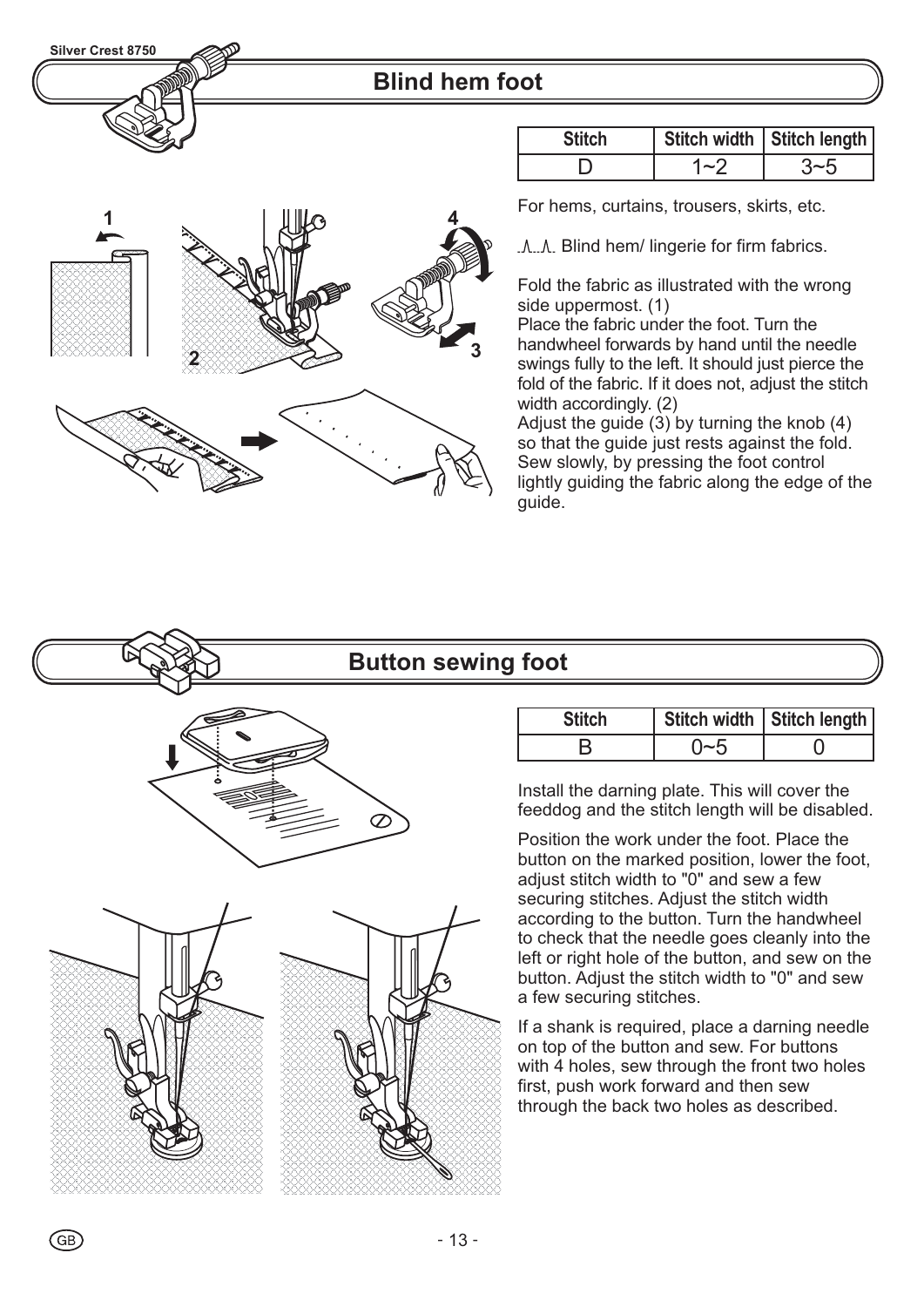

### **Blind hem foot**

| <b>Stitch</b> | Stitch width   Stitch length |
|---------------|------------------------------|
|               |                              |

For hems, curtains, trousers, skirts, etc.

.A..A. Blind hem/ lingerie for firm fabrics.

Fold the fabric as illustrated with the wrong side uppermost. (1)

Place the fabric under the foot. Turn the handwheel forwards by hand until the needle swings fully to the left. It should just pierce the fold of the fabric. If it does not, adjust the stitch width accordingly. (2)

Adjust the guide (3) by turning the knob (4) so that the guide just rests against the fold. Sew slowly, by pressing the foot control lightly guiding the fabric along the edge of the guide.

### **Button sewing foot**



GB)

**1**  $\frac{1}{2}$   $\frac{1}{2}$   $\frac{1}{2}$   $\frac{1}{2}$   $\frac{1}{2}$   $\frac{1}{2}$   $\frac{1}{2}$   $\frac{1}{2}$   $\frac{1}{2}$   $\frac{1}{2}$   $\frac{1}{2}$   $\frac{1}{2}$   $\frac{1}{2}$   $\frac{1}{2}$   $\frac{1}{2}$   $\frac{1}{2}$   $\frac{1}{2}$   $\frac{1}{2}$   $\frac{1}{2}$   $\frac{1}{2}$   $\frac{1}{2}$   $\frac{1}{2$ 

**3 2**

| <b>Stitch</b> | Stitch width   Stitch length |
|---------------|------------------------------|
|               |                              |

Install the darning plate. This will cover the feeddog and the stitch length will be disabled .

Position the work under the foot. Place the button on the marked position, lower the foot, adjust stitch width to "0" and sew a few securing stitches. Adjust the stitch width according to the button. Turn the handwheel to check that the needle goes cleanly into the left or right hole of the button, and sew on the button. Adjust the stitch width to "0" and sew a few securing stitches.

If a shank is required, place a darning needle on top of the button and sew. For buttons with 4 holes, sew through the front two holes first, push work forward and then sew through the back two holes as described.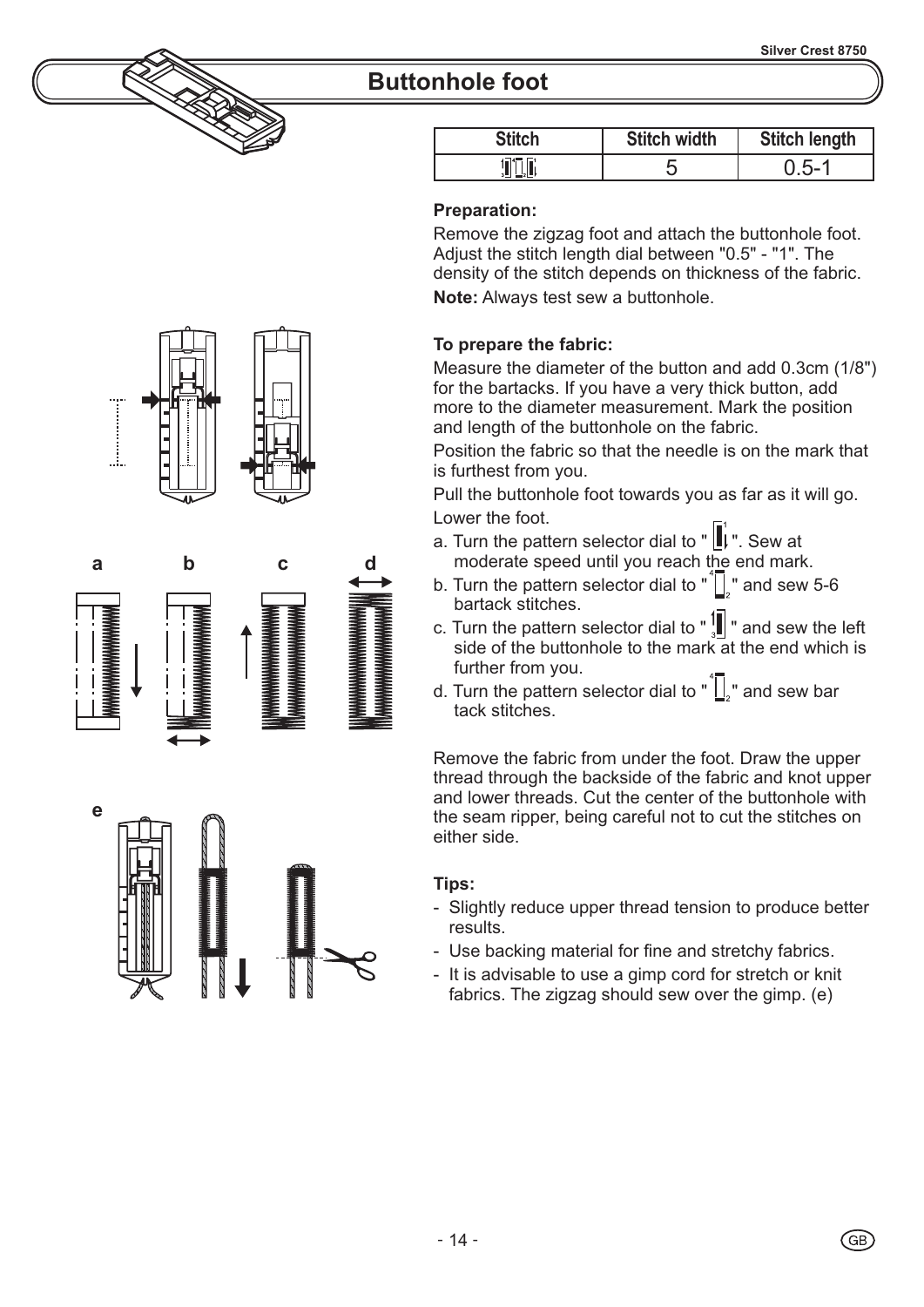### **Buttonhole foot**

| <b>Stitch</b> | <b>Stitch width</b> | <b>Stitch length</b> |
|---------------|---------------------|----------------------|
|               |                     | ∽−′                  |

#### **Preparation:**

Remove the zigzag foot and attach the buttonhole foot. Adjust the stitch length dial between "0.5" - "1". The density of the stitch depends on thickness of the fabric.

**Note:** Always test sew a buttonhole.

#### **To prepare the fabric:**

Measure the diameter of the button and add 0.3cm (1/8") for the bartacks. If you have a very thick button, add more to the diameter measurement. Mark the position and length of the buttonhole on the fabric.

Position the fabric so that the needle is on the mark that is furthest from you.

Pull the buttonhole foot towards you as far as it will go. Lower the foot.

- a. Turn the pattern selector dial to " $\parallel$ , Sew at moderate speed until you reach the end mark.
- b. Turn the pattern selector dial to  $\sqrt[n]{\cdot}$  and sew 5-6 bartack stitches.
- c. Turn the pattern selector dial to  $"\frac{1}{3}$  and sew the left side of the buttonhole to the mark at the end which is further from you.
- d. Turn the pattern selector dial to " $\sqrt{\frac{1}{n}}$ " and sew bar tack stitches.

Remove the fabric from under the foot. Draw the upper thread through the backside of the fabric and knot upper and lower threads. Cut the center of the buttonhole with the seam ripper, being careful not to cut the stitches on either side.

#### **Tips:**

- Slightly reduce upper thread tension to produce better results.
- Use backing material for fine and stretchy fabrics.
- It is advisable to use a gimp cord for stretch or knit fabrics. The zigzag should sew over the gimp. (e)







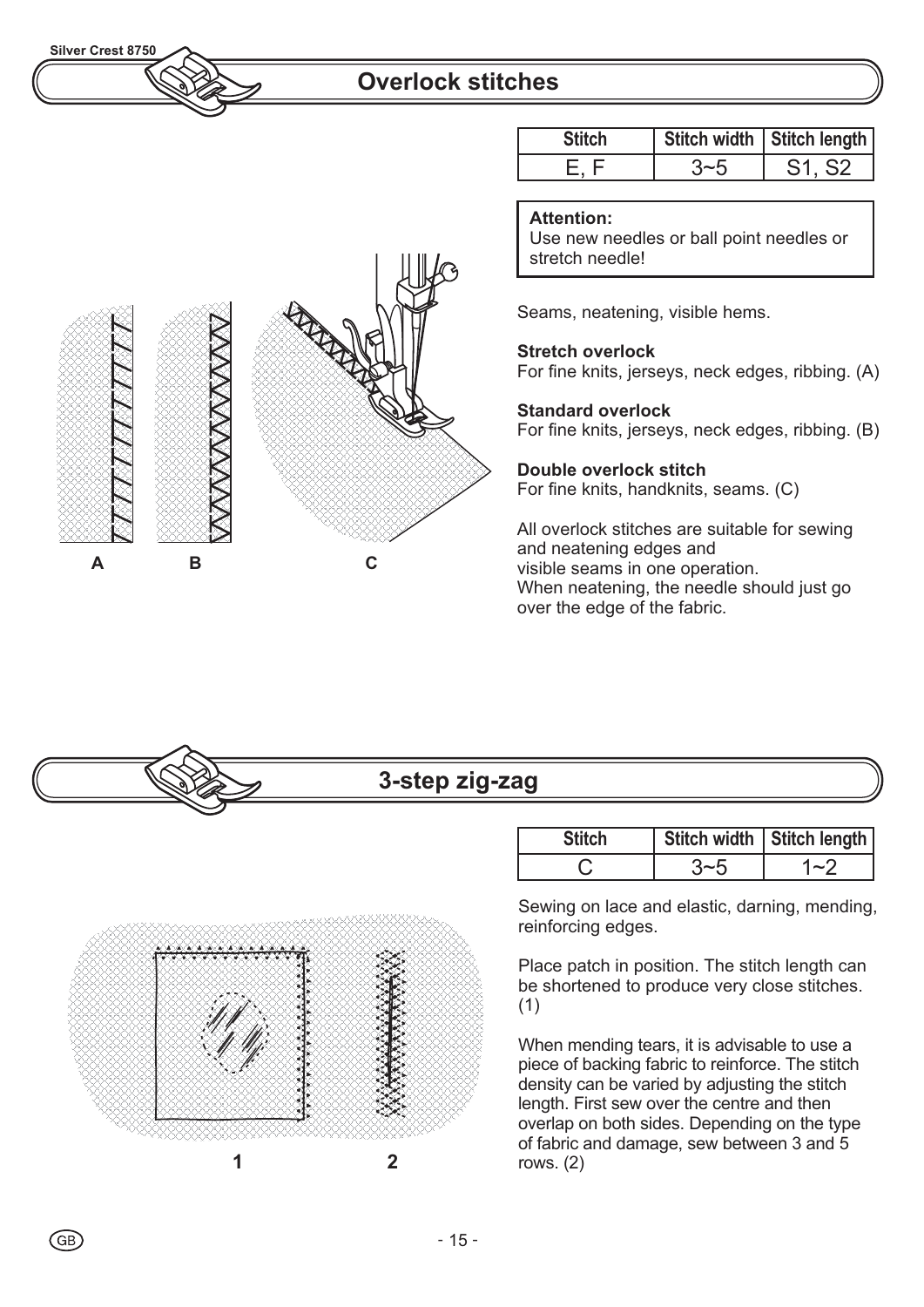

### **Overlock stitches**

|   | ≳<br>Ķ<br>S<br>S | <b>LATERA</b> |
|---|------------------|---------------|
| Α | B                | С             |

| <b>Stitch</b> | Stitch width   Stitch length  |
|---------------|-------------------------------|
|               | S <sub>1</sub> S <sub>2</sub> |

#### **Attention:**

Use new needles or ball point needles or stretch needle!

Seams, neatening, visible hems.

**Stretch overlock** For fine knits, jerseys, neck edges, ribbing. (A)

#### **Standard overlock**

For fine knits, jerseys, neck edges, ribbing. (B)

### **Double overlock stitch**

For fine knits, handknits, seams. (C)

All overlock stitches are suitable for sewing and neatening edges and visible seams in one operation. When neatening, the needle should just go over the edge of the fabric.

# **3-step zig-zag**



| <b>Stitch</b> | Stitch width   Stitch length |
|---------------|------------------------------|
|               | $\sim$                       |

Sewing on lace and elastic, darning, mending, reinforcing edges.

Place patch in position. The stitch length can be shortened to produce very close stitches. (1)

When mending tears, it is advisable to use a piece of backing fabric to reinforce. The stitch density can be varied by adjusting the stitch length. First sew over the centre and then overlap on both sides. Depending on the type of fabric and damage, sew between 3 and 5 rows. (2)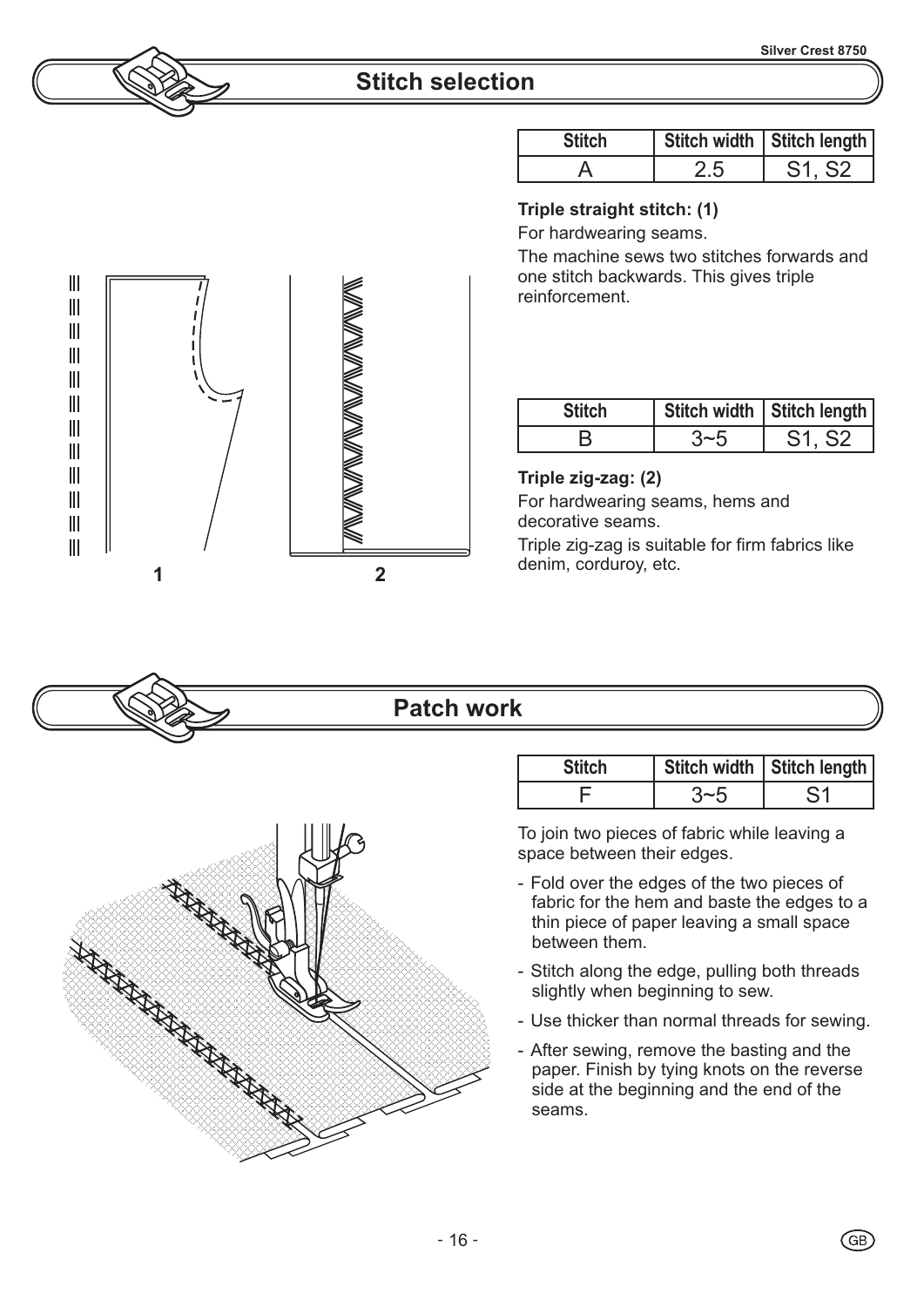### **Stitch selection**

| <b>Stitch</b> |     | Stitch width   Stitch length |
|---------------|-----|------------------------------|
|               | 7.5 |                              |

#### **Triple straight stitch: (1)**

For hardwearing seams.

The machine sews two stitches forwards and one stitch backwards. This gives triple reinforcement.

| <b>Stitch</b> | Stitch width   Stitch length |
|---------------|------------------------------|
|               |                              |

#### **Triple zig-zag: (2)**

For hardwearing seams, hems and decorative seams.

Triple zig-zag is suitable for firm fabrics like

### **Patch work**

| <b>Stitch</b> | Stitch width   Stitch length |
|---------------|------------------------------|
|               |                              |

To join two pieces of fabric while leaving a space between their edges.

- Fold over the edges of the two pieces of fabric for the hem and baste the edges to a thin piece of paper leaving a small space between them.
- Stitch along the edge, pulling both threads slightly when beginning to sew.
- Use thicker than normal threads for sewing.
- After sewing, remove the basting and the paper. Finish by tying knots on the reverse side at the beginning and the end of the seams.





**RANGER ANDERS SERVICE SERVICE SERVICE SERVICE SERVICE SERVICE SERVICE SERVICE SERVICE SERVICE SERVICE SERVICE**<br>REGENT SERVICE SERVICE SERVICE SERVICE SERVICE SERVICE SERVICE SERVICE SERVICE SERVICE SERVICE SERVICE SERVICE

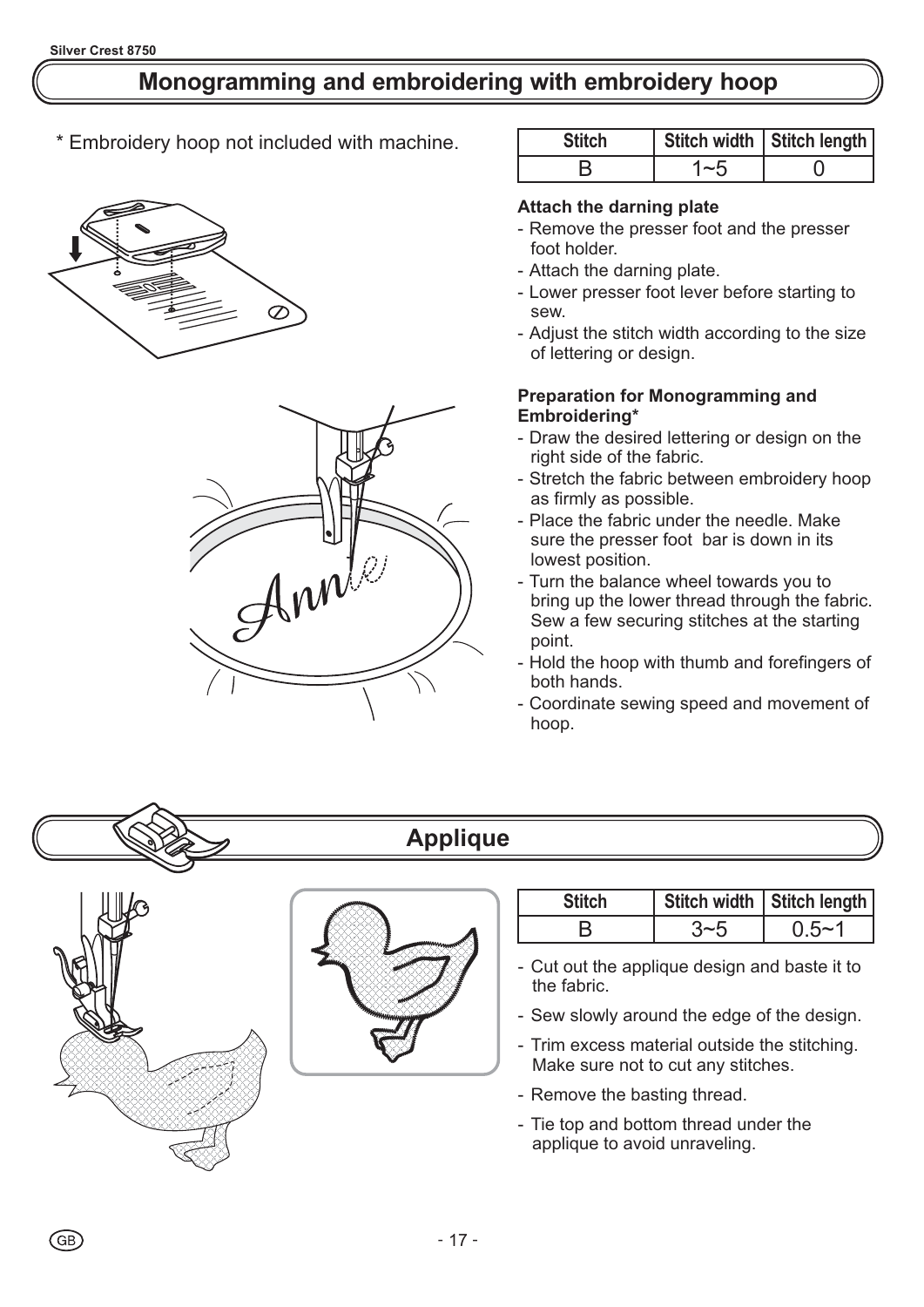# **Monogramming and embroidering with embroidery hoop**

\* Embroidery hoop not included with machine.





| <b>Stitch</b> |        | Stitch width   Stitch length |
|---------------|--------|------------------------------|
|               | $\sim$ |                              |

#### **Attach the darning plate**

- Remove the presser foot and the presser foot holder.
- Attach the darning plate.
- Lower presser foot lever before starting to sew.
- Adjust the stitch width according to the size of lettering or design.

#### **Preparation for Monogramming and Embroidering\***

- Draw the desired lettering or design on the right side of the fabric.
- Stretch the fabric between embroidery hoop as firmly as possible.
- Place the fabric under the needle. Make sure the presser foot bar is down in its lowest position.
- Turn the balance wheel towards you to bring up the lower thread through the fabric. Sew a few securing stitches at the starting point.
- Hold the hoop with thumb and forefingers of both hands.
- Coordinate sewing speed and movement of hoop.



# **Applique**





| <b>Stitch</b> | Stitch width   Stitch length |
|---------------|------------------------------|
|               | $0.5 - 7$                    |

- Cut out the applique design and baste it to the fabric.
- Sew slowly around the edge of the design.
- Trim excess material outside the stitching. Make sure not to cut any stitches.
- Remove the basting thread.
- Tie top and bottom thread under the applique to avoid unraveling.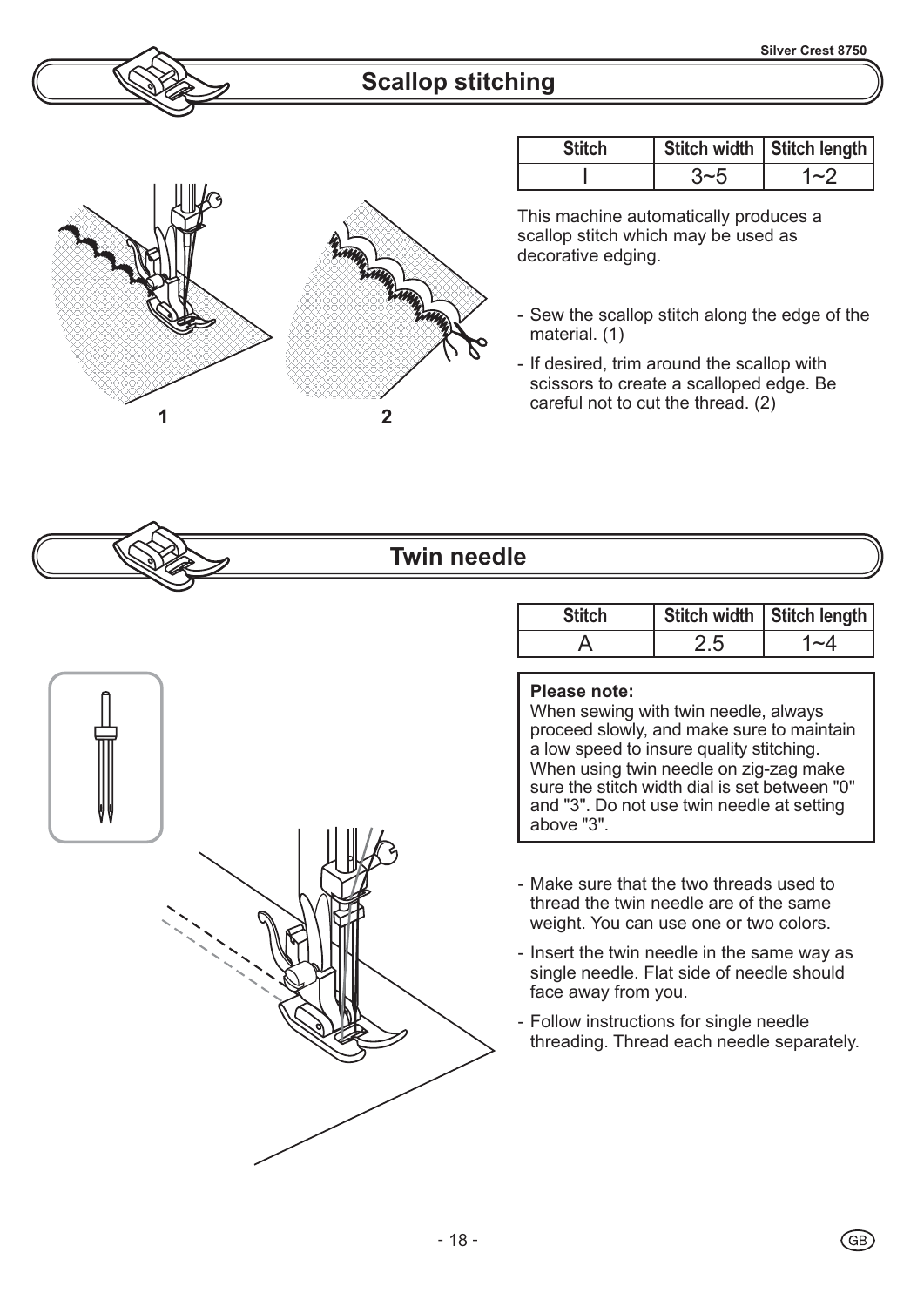## **Scallop stitching**



| <b>Stitch</b> | Stitch width   Stitch length |
|---------------|------------------------------|
|               | $\sim$                       |

This machine automatically produces a scallop stitch which may be used as decorative edging.

- Sew the scallop stitch along the edge of the material. (1)
- If desired, trim around the scallop with scissors to create a scalloped edge. Be

### **Twin needle**

| <b>Stitch</b> | Stitch width   Stitch length |
|---------------|------------------------------|
|               |                              |

#### **Please note:**

When sewing with twin needle, always proceed slowly, and make sure to maintain a low speed to insure quality stitching. When using twin needle on zig-zag make sure the stitch width dial is set between "0" and "3". Do not use twin needle at setting above "3".

- Make sure that the two threads used to thread the twin needle are of the same weight. You can use one or two colors.
- Insert the twin needle in the same way as single needle. Flat side of needle should face away from you.
- Follow instructions for single needle threading. Thread each needle separately.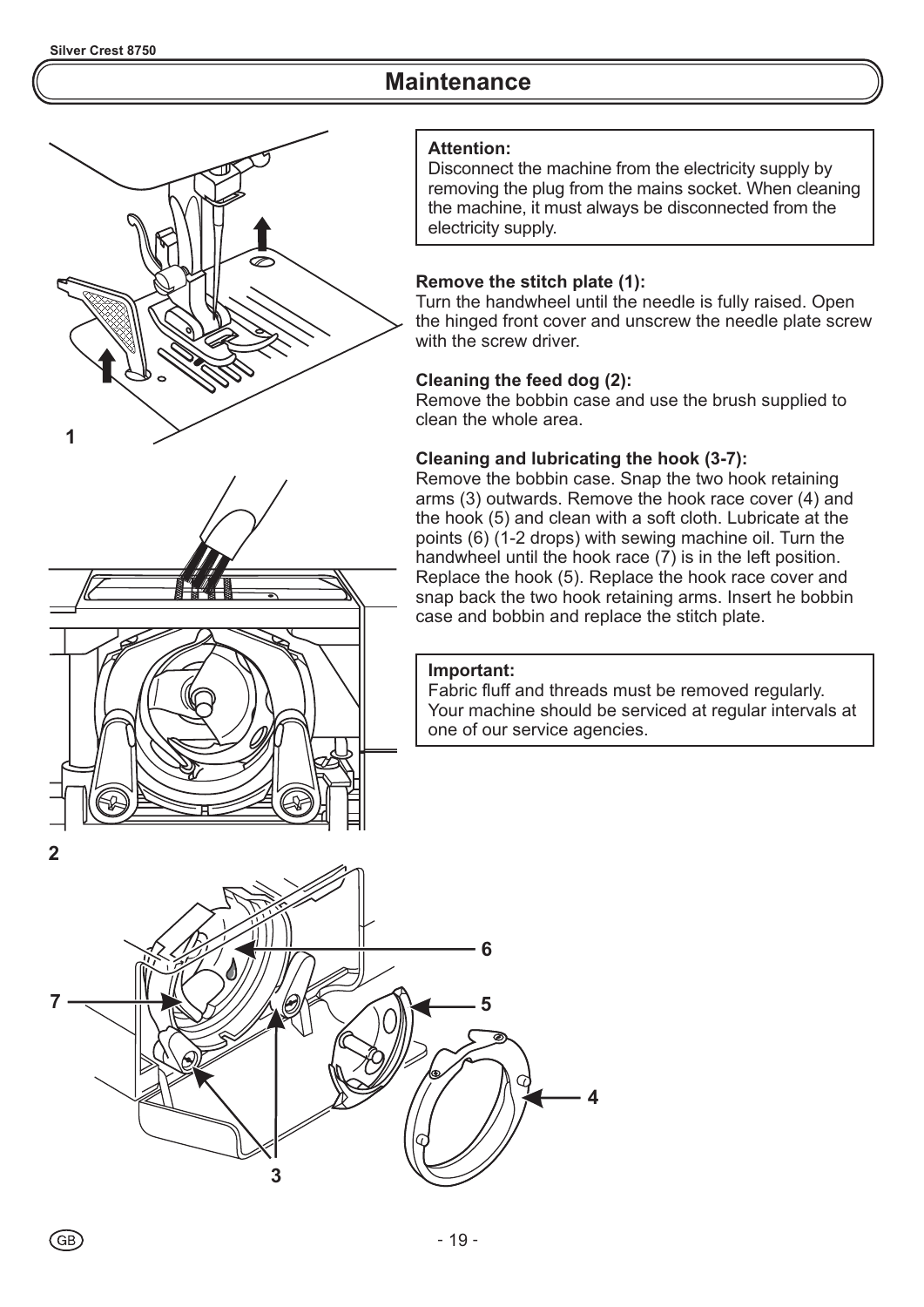### **Maintenance**





#### **Attention:**

Disconnect the machine from the electricity supply by removing the plug from the mains socket. When cleaning the machine, it must always be disconnected from the electricity supply.

#### **Remove the stitch plate (1):**

Turn the handwheel until the needle is fully raised. Open the hinged front cover and unscrew the needle plate screw with the screw driver.

#### **Cleaning the feed dog (2):**

Remove the bobbin case and use the brush supplied to clean the whole area.

#### **Cleaning and lubricating the hook (3-7):**

Remove the bobbin case. Snap the two hook retaining arms (3) outwards. Remove the hook race cover (4) and the hook (5) and clean with a soft cloth. Lubricate at the points  $(6)$  (1-2 drops) with sewing machine oil. Turn the handwheel until the hook race  $(7)$  is in the left position. Replace the hook (5). Replace the hook race cover and snap back the two hook retaining arms. Insert he bobbin case and bobbin and replace the stitch plate.

#### **Important:**

Fabric fluff and threads must be removed regularly. Your machine should be serviced at regular intervals at one of our service agencies.

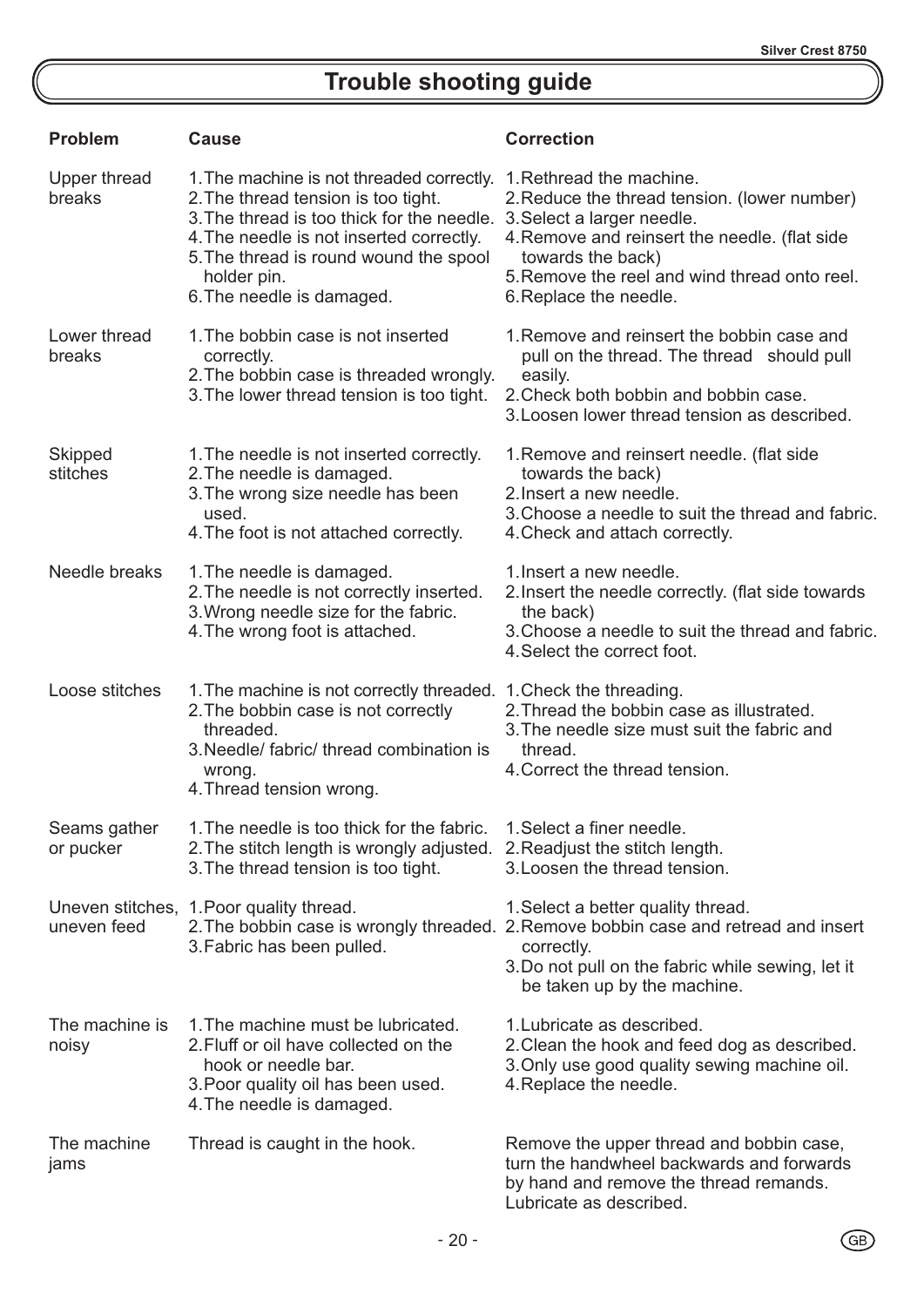# **Trouble shooting guide**

| <b>Problem</b>             | <b>Cause</b>                                                                                                                                                                                                                                                     | <b>Correction</b>                                                                                                                                                                                                                                       |
|----------------------------|------------------------------------------------------------------------------------------------------------------------------------------------------------------------------------------------------------------------------------------------------------------|---------------------------------------------------------------------------------------------------------------------------------------------------------------------------------------------------------------------------------------------------------|
| Upper thread<br>breaks     | 1. The machine is not threaded correctly.<br>2. The thread tension is too tight.<br>3. The thread is too thick for the needle.<br>4. The needle is not inserted correctly.<br>5. The thread is round wound the spool<br>holder pin.<br>6. The needle is damaged. | 1. Rethread the machine.<br>2. Reduce the thread tension. (lower number)<br>3. Select a larger needle.<br>4. Remove and reinsert the needle. (flat side<br>towards the back)<br>5. Remove the reel and wind thread onto reel.<br>6. Replace the needle. |
| Lower thread<br>breaks     | 1. The bobbin case is not inserted<br>correctly.<br>2. The bobbin case is threaded wrongly.<br>3. The lower thread tension is too tight.                                                                                                                         | 1. Remove and reinsert the bobbin case and<br>pull on the thread. The thread should pull<br>easily.<br>2. Check both bobbin and bobbin case.<br>3. Loosen lower thread tension as described.                                                            |
| <b>Skipped</b><br>stitches | 1. The needle is not inserted correctly.<br>2. The needle is damaged.<br>3. The wrong size needle has been<br>used.<br>4. The foot is not attached correctly.                                                                                                    | 1. Remove and reinsert needle. (flat side<br>towards the back)<br>2. Insert a new needle.<br>3. Choose a needle to suit the thread and fabric.<br>4. Check and attach correctly.                                                                        |
| Needle breaks              | 1. The needle is damaged.<br>2. The needle is not correctly inserted.<br>3. Wrong needle size for the fabric.<br>4. The wrong foot is attached.                                                                                                                  | 1. Insert a new needle.<br>2. Insert the needle correctly. (flat side towards<br>the back)<br>3. Choose a needle to suit the thread and fabric.<br>4. Select the correct foot.                                                                          |
| Loose stitches             | 1. The machine is not correctly threaded. 1. Check the threading.<br>2. The bobbin case is not correctly<br>threaded.<br>3. Needle/ fabric/ thread combination is<br>wrong.<br>4. Thread tension wrong.                                                          | 2. Thread the bobbin case as illustrated.<br>3. The needle size must suit the fabric and<br>thread.<br>4. Correct the thread tension.                                                                                                                   |
| Seams gather<br>or pucker  | 1. The needle is too thick for the fabric. 1. Select a finer needle.<br>2. The stitch length is wrongly adjusted.<br>3. The thread tension is too tight.                                                                                                         | 2. Readjust the stitch length.<br>3. Loosen the thread tension.                                                                                                                                                                                         |
| uneven feed                | Uneven stitches, 1. Poor quality thread.<br>3. Fabric has been pulled.                                                                                                                                                                                           | 1. Select a better quality thread.<br>2. The bobbin case is wrongly threaded. 2. Remove bobbin case and retread and insert<br>correctly.<br>3. Do not pull on the fabric while sewing, let it<br>be taken up by the machine.                            |
| The machine is<br>noisy    | 1. The machine must be lubricated.<br>2. Fluff or oil have collected on the<br>hook or needle bar.<br>3. Poor quality oil has been used.<br>4. The needle is damaged.                                                                                            | 1. Lubricate as described.<br>2. Clean the hook and feed dog as described.<br>3. Only use good quality sewing machine oil.<br>4. Replace the needle.                                                                                                    |
| The machine<br>jams        | Thread is caught in the hook.                                                                                                                                                                                                                                    | Remove the upper thread and bobbin case,<br>turn the handwheel backwards and forwards<br>by hand and remove the thread remands.                                                                                                                         |

Lubricate as described.

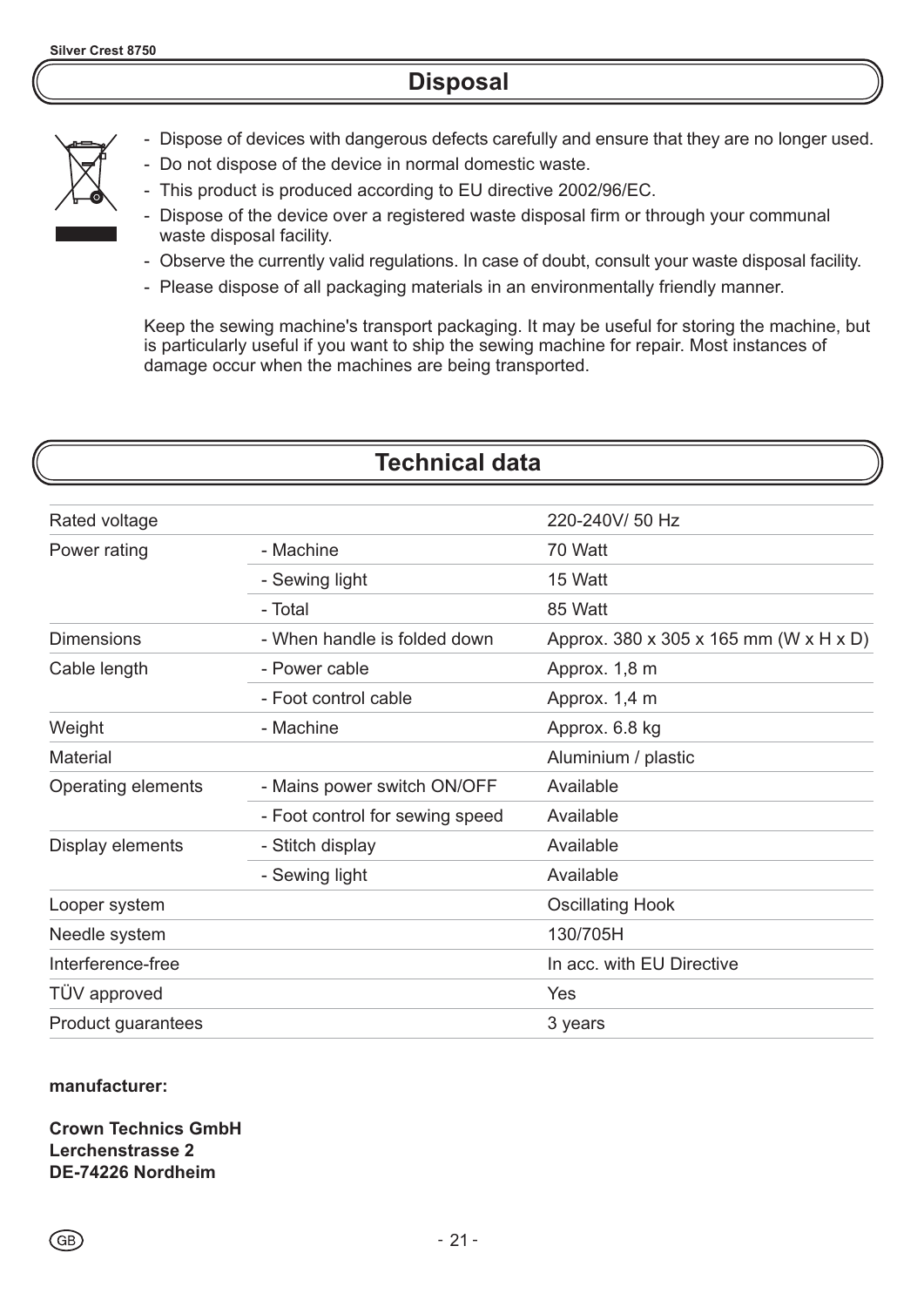### **Disposal**



- Dispose of devices with dangerous defects carefully and ensure that they are no longer used.
- Do not dispose of the device in normal domestic waste.
- This product is produced according to EU directive 2002/96/EC.
- Dispose of the device over a registered waste disposal firm or through your communal waste disposal facility.
- Observe the currently valid regulations. In case of doubt, consult your waste disposal facility.
- Please dispose of all packaging materials in an environmentally friendly manner.

Keep the sewing machine's transport packaging. It may be useful for storing the machine, but is particularly useful if you want to ship the sewing machine for repair. Most instances of damage occur when the machines are being transported.

#### **Technical data** Rated voltage Power rating Dimensions Cable length **Weight Material** Operating elements Display elements Looper system Needle system Interference-free TÜV approved Product guarantees - Machine - Sewing light - Total 220-240V/ 50 Hz 70 Watt 15 Watt 85 Watt Approx. 380 x 305 x 165 mm (W x H x D) Approx. 1,8 m Approx. 1,4 m Approx. 6.8 kg Aluminium / plastic Available Available Available Available 130/705H In acc. with EU Directive Yes 3 years - When handle is folded down - Power cable - Foot control cable - Machine - Mains power switch ON/OFF - Foot control for sewing speed - Stitch display - Sewing light Oscillating Hook

#### **manufacturer:**

**Crown Technics GmbH Lerchenstrasse 2 DE-74226 Nordheim**